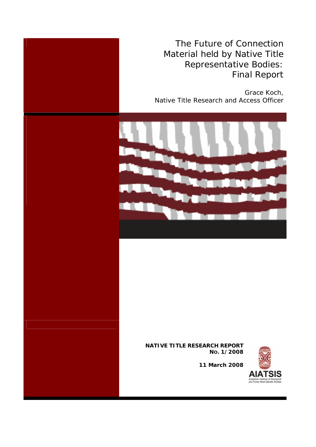The Future of Connection Material held by Native Title Representative Bodies: Final Report

Grace Koch, Native Title Research and Access Officer



#### **NATIVE TITLE RESEARCH REPORT NO. 1/2008**



**11 March 2008**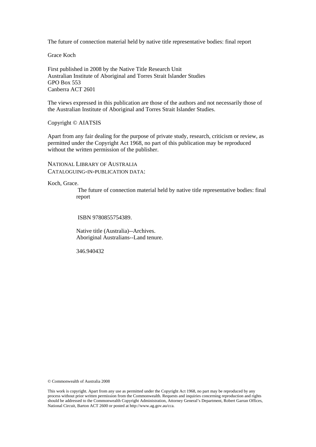The future of connection material held by native title representative bodies: final report

Grace Koch

First published in 2008 by the Native Title Research Unit Australian Institute of Aboriginal and Torres Strait Islander Studies GPO Box 553 Canberra ACT 2601

The views expressed in this publication are those of the authors and not necessarily those of the Australian Institute of Aboriginal and Torres Strait Islander Studies.

Copyright © AIATSIS

Apart from any fair dealing for the purpose of private study, research, criticism or review, as permitted under the Copyright Act 1968, no part of this publication may be reproduced without the written permission of the publisher.

NATIONAL LIBRARY OF AUSTRALIA CATALOGUING-IN-PUBLICATION DATA:

Koch, Grace.

 The future of connection material held by native title representative bodies: final report

ISBN 9780855754389.

 Native title (Australia)--Archives. Aboriginal Australians--Land tenure.

346.940432

© Commonwealth of Australia 2008

This work is copyright. Apart from any use as permitted under the Copyright Act 1968, no part may be reproduced by any process without prior written permission from the Commonwealth. Requests and inquiries concerning reproduction and rights should be addressed to the Commonwealth Copyright Administration, Attorney General's Department, Robert Garran Offices, National Circuit, Barton ACT 2600 or posted at http://www.ag.gov.au/cca.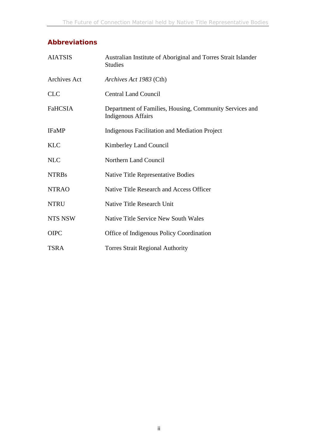# **Abbreviations**

| <b>AIATSIS</b>      | Australian Institute of Aboriginal and Torres Strait Islander<br><b>Studies</b>      |
|---------------------|--------------------------------------------------------------------------------------|
| <b>Archives Act</b> | Archives Act 1983 (Cth)                                                              |
| <b>CLC</b>          | <b>Central Land Council</b>                                                          |
| <b>FaHCSIA</b>      | Department of Families, Housing, Community Services and<br><b>Indigenous Affairs</b> |
| <b>IFaMP</b>        | Indigenous Facilitation and Mediation Project                                        |
| <b>KLC</b>          | Kimberley Land Council                                                               |
| <b>NLC</b>          | <b>Northern Land Council</b>                                                         |
| <b>NTRBs</b>        | Native Title Representative Bodies                                                   |
| <b>NTRAO</b>        | Native Title Research and Access Officer                                             |
| <b>NTRU</b>         | Native Title Research Unit                                                           |
| <b>NTS NSW</b>      | <b>Native Title Service New South Wales</b>                                          |
| <b>OIPC</b>         | Office of Indigenous Policy Coordination                                             |
| <b>TSRA</b>         | <b>Torres Strait Regional Authority</b>                                              |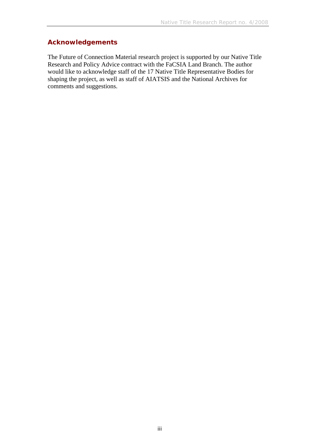# **Acknowledgements**

The Future of Connection Material research project is supported by our Native Title Research and Policy Advice contract with the FaCSIA Land Branch. The author would like to acknowledge staff of the 17 Native Title Representative Bodies for shaping the project, as well as staff of AIATSIS and the National Archives for comments and suggestions.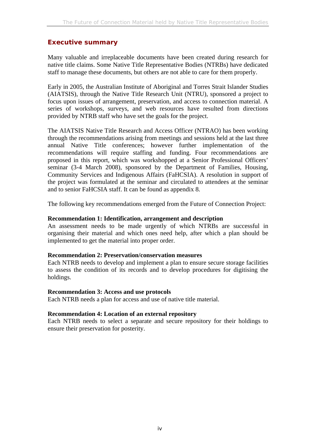## **Executive summary**

Many valuable and irreplaceable documents have been created during research for native title claims. Some Native Title Representative Bodies (NTRBs) have dedicated staff to manage these documents, but others are not able to care for them properly.

Early in 2005, the Australian Institute of Aboriginal and Torres Strait Islander Studies (AIATSIS), through the Native Title Research Unit (NTRU), sponsored a project to focus upon issues of arrangement, preservation, and access to connection material. A series of workshops, surveys, and web resources have resulted from directions provided by NTRB staff who have set the goals for the project.

The AIATSIS Native Title Research and Access Officer (NTRAO) has been working through the recommendations arising from meetings and sessions held at the last three annual Native Title conferences; however further implementation of the recommendations will require staffing and funding. Four recommendations are proposed in this report, which was workshopped at a Senior Professional Officers' seminar (3-4 March 2008), sponsored by the Department of Families, Housing, Community Services and Indigenous Affairs (FaHCSIA). A resolution in support of the project was formulated at the seminar and circulated to attendees at the seminar and to senior FaHCSIA staff. It can be found as appendix 8.

The following key recommendations emerged from the Future of Connection Project:

### **Recommendation 1: Identification, arrangement and description**

An assessment needs to be made urgently of which NTRBs are successful in organising their material and which ones need help, after which a plan should be implemented to get the material into proper order.

### **Recommendation 2: Preservation/conservation measures**

Each NTRB needs to develop and implement a plan to ensure secure storage facilities to assess the condition of its records and to develop procedures for digitising the holdings.

### **Recommendation 3: Access and use protocols**

Each NTRB needs a plan for access and use of native title material.

#### **Recommendation 4: Location of an external repository**

Each NTRB needs to select a separate and secure repository for their holdings to ensure their preservation for posterity.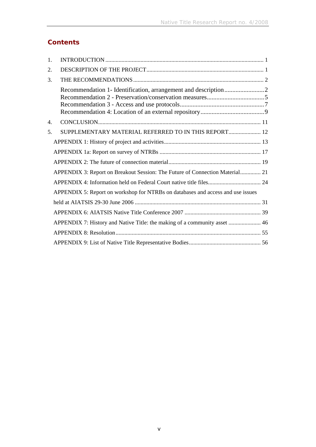# **Contents**

| 1. |                                                                                 |
|----|---------------------------------------------------------------------------------|
| 2. |                                                                                 |
| 3. |                                                                                 |
|    |                                                                                 |
| 4. |                                                                                 |
| 5. | SUPPLEMENTARY MATERIAL REFERRED TO IN THIS REPORT 12                            |
|    |                                                                                 |
|    |                                                                                 |
|    |                                                                                 |
|    | APPENDIX 3: Report on Breakout Session: The Future of Connection Material 21    |
|    |                                                                                 |
|    | APPENDIX 5: Report on workshop for NTRBs on databases and access and use issues |
|    |                                                                                 |
|    |                                                                                 |
|    | APPENDIX 7: History and Native Title: the making of a community asset  46       |
|    |                                                                                 |
|    |                                                                                 |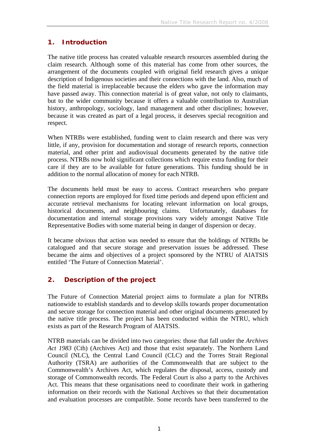# **1. Introduction**

The native title process has created valuable research resources assembled during the claim research. Although some of this material has come from other sources, the arrangement of the documents coupled with original field research gives a unique description of Indigenous societies and their connections with the land. Also, much of the field material is irreplaceable because the elders who gave the information may have passed away. This connection material is of great value, not only to claimants, but to the wider community because it offers a valuable contribution to Australian history, anthropology, sociology, land management and other disciplines; however, because it was created as part of a legal process, it deserves special recognition and respect.

When NTRBs were established, funding went to claim research and there was very little, if any, provision for documentation and storage of research reports, connection material, and other print and audiovisual documents generated by the native title process. NTRBs now hold significant collections which require extra funding for their care if they are to be available for future generations. This funding should be in addition to the normal allocation of money for each NTRB.

The documents held must be easy to access. Contract researchers who prepare connection reports are employed for fixed time periods and depend upon efficient and accurate retrieval mechanisms for locating relevant information on local groups, historical documents, and neighbouring claims. Unfortunately, databases for documentation and internal storage provisions vary widely amongst Native Title Representative Bodies with some material being in danger of dispersion or decay.

It became obvious that action was needed to ensure that the holdings of NTRBs be catalogued and that secure storage and preservation issues be addressed. These became the aims and objectives of a project sponsored by the NTRU of AIATSIS entitled 'The Future of Connection Material'.

# **2. Description of the project**

The Future of Connection Material project aims to formulate a plan for NTRBs nationwide to establish standards and to develop skills towards proper documentation and secure storage for connection material and other original documents generated by the native title process. The project has been conducted within the NTRU, which exists as part of the Research Program of AIATSIS.

NTRB materials can be divided into two categories: those that fall under the *Archives Act 1983* (Cth) (Archives Act) and those that exist separately. The Northern Land Council (NLC), the Central Land Council (CLC) and the Torres Strait Regional Authority (TSRA) are authorities of the Commonwealth that are subject to the Commonwealth's Archives Act, which regulates the disposal, access, custody and storage of Commonwealth records. The Federal Court is also a party to the Archives Act. This means that these organisations need to coordinate their work in gathering information on their records with the National Archives so that their documentation and evaluation processes are compatible. Some records have been transferred to the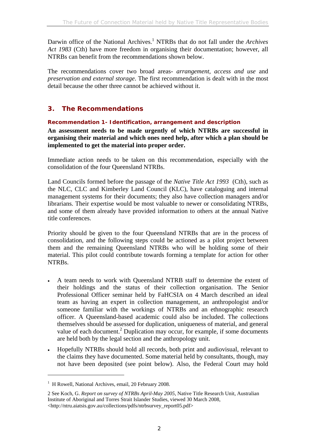Darwin office of the National Archives.<sup>1</sup> NTRBs that do not fall under the *Archives Act 1983* (Cth) have more freedom in organising their documentation; however, all NTRBs can benefit from the recommendations shown below.

The recommendations cover two broad areas- *arrangement, access and use* and *preservation and external storage*. The first recommendation is dealt with in the most detail because the other three cannot be achieved without it.

# **3. The Recommendations**

## **Recommendation 1- Identification, arrangement and description**

**An assessment needs to be made urgently of which NTRBs are successful in organising their material and which ones need help, after which a plan should be implemented to get the material into proper order.** 

Immediate action needs to be taken on this recommendation, especially with the consolidation of the four Queensland NTRBs.

Land Councils formed before the passage of the *Native Title Act 1993* (Cth), such as the NLC, CLC and Kimberley Land Council (KLC), have cataloguing and internal management systems for their documents; they also have collection managers and/or librarians. Their expertise would be most valuable to newer or consolidating NTRBs, and some of them already have provided information to others at the annual Native title conferences.

Priority should be given to the four Queensland NTRBs that are in the process of consolidation, and the following steps could be actioned as a pilot project between them and the remaining Queensland NTRBs who will be holding some of their material. This pilot could contribute towards forming a template for action for other NTRBs.

- A team needs to work with Queensland NTRB staff to determine the extent of their holdings and the status of their collection organisation. The Senior Professional Officer seminar held by FaHCSIA on 4 March described an ideal team as having an expert in collection management, an anthropologist and/or someone familiar with the workings of NTRBs and an ethnographic research officer. A Queensland-based academic could also be included. The collections themselves should be assessed for duplication, uniqueness of material, and general value of each document.<sup>2</sup> Duplication may occur, for example, if some documents are held both by the legal section and the anthropology unit.
- Hopefully NTRBs should hold all records, both print and audiovisual, relevant to the claims they have documented. Some material held by consultants, though, may not have been deposited (see point below). Also, the Federal Court may hold

<sup>&</sup>lt;sup>1</sup> H Rowell, National Archives, email, 20 February 2008.

<sup>2</sup> See Koch, G. *Report on survey of NTRBs April-May 2005*, Native Title Research Unit, Australian Institute of Aboriginal and Torres Strait Islander Studies, viewed 30 March 2008, <http://ntru.aiatsis.gov.au/collections/pdfs/ntrbsurvey\_report05.pdf>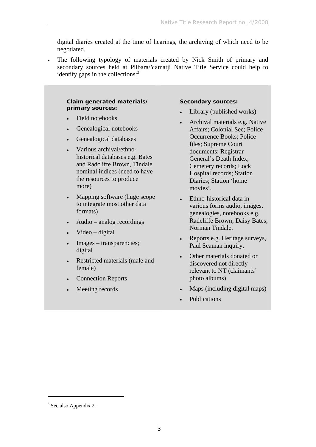digital diaries created at the time of hearings, the archiving of which need to be negotiated.

• The following typology of materials created by Nick Smith of primary and secondary sources held at Pilbara/Yamatji Native Title Service could help to identify gaps in the collections: $3$ 

#### **Claim generated materials/ primary sources:**

- Field notebooks
- Genealogical notebooks
- Genealogical databases
- Various archival/ethnohistorical databases e.g. Bates and Radcliffe Brown, Tindale nominal indices (need to have the resources to produce more)
- Mapping software (huge scope to integrate most other data formats)
- Audio analog recordings
- Video digital
- Images transparencies; digital
- Restricted materials (male and female)
- Connection Reports
- Meeting records

#### **Secondary sources:**

- Library (published works)
- Archival materials e.g. Native Affairs; Colonial Sec; Police Occurrence Books; Police files; Supreme Court documents; Registrar General's Death Index; Cemetery records; Lock Hospital records; Station Diaries; Station 'home movies'.
- Ethno-historical data in various forms audio, images, genealogies, notebooks e.g. Radcliffe Brown; Daisy Bates; Norman Tindale.
- Reports e.g. Heritage surveys, Paul Seaman inquiry,
- Other materials donated or discovered not directly relevant to NT (claimants' photo albums)
- Maps (including digital maps)
- Publications

 $3$  See also Appendix 2.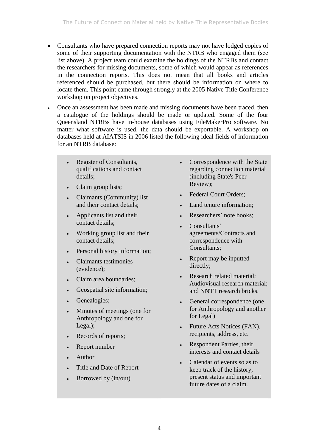- Consultants who have prepared connection reports may not have lodged copies of some of their supporting documentation with the NTRB who engaged them (see list above). A project team could examine the holdings of the NTRBs and contact the researchers for missing documents, some of which would appear as references in the connection reports. This does not mean that all books and articles referenced should be purchased, but there should be information on where to locate them. This point came through strongly at the 2005 Native Title Conference workshop on project objectives.
- Once an assessment has been made and missing documents have been traced, then a catalogue of the holdings should be made or updated. Some of the four Queensland NTRBs have in-house databases using FileMakerPro software. No matter what software is used, the data should be exportable. A workshop on databases held at AIATSIS in 2006 listed the following ideal fields of information for an NTRB database:
	- Register of Consultants, qualifications and contact details;
	- Claim group lists;
	- Claimants (Community) list and their contact details;
	- Applicants list and their contact details;
	- Working group list and their contact details;
	- Personal history information;
	- Claimants testimonies (evidence);
	- Claim area boundaries;
	- Geospatial site information;
	- Genealogies;
	- Minutes of meetings (one for Anthropology and one for Legal);
	- Records of reports;
	- Report number
	- Author
	- Title and Date of Report
	- Borrowed by (in/out)
- Correspondence with the State regarding connection material (including State's Peer Review);
- Federal Court Orders;
- Land tenure information;
- Researchers' note books;
- Consultants' agreements/Contracts and correspondence with Consultants;
- Report may be inputted directly;
- Research related material; Audiovisual research material; and NNTT research bricks.
- General correspondence (one for Anthropology and another for Legal)
- Future Acts Notices (FAN), recipients, address, etc.
- Respondent Parties, their interests and contact details
- Calendar of events so as to keep track of the history, present status and important future dates of a claim.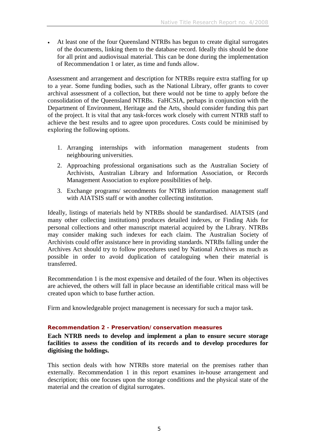• At least one of the four Queensland NTRBs has begun to create digital surrogates of the documents, linking them to the database record. Ideally this should be done for all print and audiovisual material. This can be done during the implementation of Recommendation 1 or later, as time and funds allow.

Assessment and arrangement and description for NTRBs require extra staffing for up to a year. Some funding bodies, such as the National Library, offer grants to cover archival assessment of a collection, but there would not be time to apply before the consolidation of the Queensland NTRBs. FaHCSIA, perhaps in conjunction with the Department of Environment, Heritage and the Arts, should consider funding this part of the project. It is vital that any task-forces work closely with current NTRB staff to achieve the best results and to agree upon procedures. Costs could be minimised by exploring the following options.

- 1. Arranging internships with information management students from neighbouring universities.
- 2. Approaching professional organisations such as the Australian Society of Archivists, Australian Library and Information Association, or Records Management Association to explore possibilities of help.
- 3. Exchange programs/ secondments for NTRB information management staff with AIATSIS staff or with another collecting institution.

Ideally, listings of materials held by NTRBs should be standardised. AIATSIS (and many other collecting institutions) produces detailed indexes, or Finding Aids for personal collections and other manuscript material acquired by the Library. NTRBs may consider making such indexes for each claim. The Australian Society of Archivists could offer assistance here in providing standards. NTRBs falling under the Archives Act should try to follow procedures used by National Archives as much as possible in order to avoid duplication of cataloguing when their material is transferred.

Recommendation 1 is the most expensive and detailed of the four. When its objectives are achieved, the others will fall in place because an identifiable critical mass will be created upon which to base further action.

Firm and knowledgeable project management is necessary for such a major task.

### **Recommendation 2 - Preservation/conservation measures**

**Each NTRB needs to develop and implement a plan to ensure secure storage facilities to assess the condition of its records and to develop procedures for digitising the holdings.** 

This section deals with how NTRBs store material on the premises rather than externally. Recommendation 1 in this report examines in-house arrangement and description; this one focuses upon the storage conditions and the physical state of the material and the creation of digital surrogates.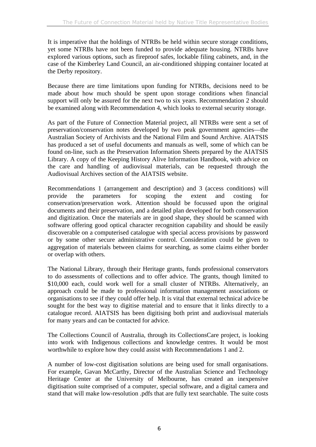It is imperative that the holdings of NTRBs be held within secure storage conditions, yet some NTRBs have not been funded to provide adequate housing. NTRBs have explored various options, such as fireproof safes, lockable filing cabinets, and, in the case of the Kimberley Land Council, an air-conditioned shipping container located at the Derby repository.

Because there are time limitations upon funding for NTRBs, decisions need to be made about how much should be spent upon storage conditions when financial support will only be assured for the next two to six years. Recommendation 2 should be examined along with Recommendation 4, which looks to external security storage.

As part of the Future of Connection Material project, all NTRBs were sent a set of preservation/conservation notes developed by two peak government agencies—the Australian Society of Archivists and the National Film and Sound Archive. AIATSIS has produced a set of useful documents and manuals as well, some of which can be found on-line, such as the Preservation Information Sheets prepared by the AIATSIS Library. A copy of the Keeping History Alive Information Handbook, with advice on the care and handling of audiovisual materials, can be requested through the Audiovisual Archives section of the AIATSIS website.

Recommendations 1 (arrangement and description) and 3 (access conditions) will provide the parameters for scoping the extent and costing for conservation/preservation work. Attention should be focussed upon the original documents and their preservation, and a detailed plan developed for both conservation and digitization. Once the materials are in good shape, they should be scanned with software offering good optical character recognition capability and should be easily discoverable on a computerised catalogue with special access provisions by password or by some other secure administrative control. Consideration could be given to aggregation of materials between claims for searching, as some claims either border or overlap with others.

The National Library, through their Heritage grants, funds professional conservators to do assessments of collections and to offer advice. The grants, though limited to \$10,000 each, could work well for a small cluster of NTRBs. Alternatively, an approach could be made to professional information management associations or organisations to see if they could offer help. It is vital that external technical advice be sought for the best way to digitise material and to ensure that it links directly to a catalogue record. AIATSIS has been digitising both print and audiovisual materials for many years and can be contacted for advice.

The Collections Council of Australia, through its CollectionsCare project, is looking into work with Indigenous collections and knowledge centres. It would be most worthwhile to explore how they could assist with Recommendations 1 and 2.

A number of low-cost digitisation solutions are being used for small organisations. For example, Gavan McCarthy, Director of the Australian Science and Technology Heritage Center at the University of Melbourne, has created an inexpensive digitisation suite comprised of a computer, special software, and a digital camera and stand that will make low-resolution .pdfs that are fully text searchable. The suite costs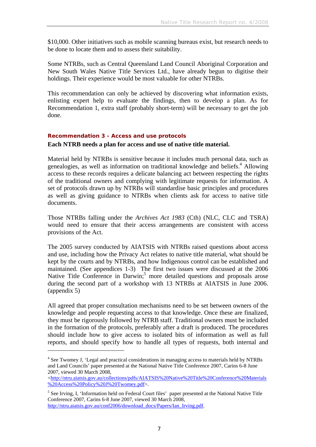\$10,000. Other initiatives such as mobile scanning bureaus exist, but research needs to be done to locate them and to assess their suitability.

Some NTRBs, such as Central Queensland Land Council Aboriginal Corporation and New South Wales Native Title Services Ltd., have already begun to digitise their holdings. Their experience would be most valuable for other NTRBs.

This recommendation can only be achieved by discovering what information exists, enlisting expert help to evaluate the findings, then to develop a plan. As for Recommendation 1, extra staff (probably short-term) will be necessary to get the job done.

### **Recommendation 3 - Access and use protocols**

#### **Each NTRB needs a plan for access and use of native title material.**

Material held by NTRBs is sensitive because it includes much personal data, such as genealogies, as well as information on traditional knowledge and beliefs.<sup>4</sup> Allowing access to these records requires a delicate balancing act between respecting the rights of the traditional owners and complying with legitimate requests for information. A set of protocols drawn up by NTRBs will standardise basic principles and procedures as well as giving guidance to NTRBs when clients ask for access to native title documents.

Those NTRBs falling under the *Archives Act 1983* (Cth) (NLC, CLC and TSRA) would need to ensure that their access arrangements are consistent with access provisions of the Act.

The 2005 survey conducted by AIATSIS with NTRBs raised questions about access and use, including how the Privacy Act relates to native title material, what should be kept by the courts and by NTRBs, and how Indigenous control can be established and maintained. (See appendices 1-3) The first two issues were discussed at the 2006 Native Title Conference in Darwin;<sup>5</sup> more detailed questions and proposals arose during the second part of a workshop with 13 NTRBs at AIATSIS in June 2006. (appendix 5)

All agreed that proper consultation mechanisms need to be set between owners of the knowledge and people requesting access to that knowledge. Once these are finalized, they must be rigorously followed by NTRB staff. Traditional owners must be included in the formation of the protocols, preferably after a draft is produced. The procedures should include how to give access to isolated bits of information as well as full reports, and should specify how to handle all types of requests, both internal and

<sup>&</sup>lt;sup>4</sup> See Twomey J, 'Legal and practical considerations in managing access to materials held by NTRBs and Land Councils' paper presented at the National Native Title Conference 2007, Carins 6-8 June 2007, viewed 30 March 2008,

<sup>&</sup>lt;http://ntru.aiatsis.gov.au/collections/pdfs/AIATSIS%20Native%20Title%20Conference%20Materials %20Access%20Policy%20J%20Twomey.pdf>.

<sup>&</sup>lt;sup>5</sup> See Irving, I, 'Information held on Federal Court files' paper presented at the National Native Title Conference 2007, Carins 6-8 June 2007, viewed 30 March 2008, http://ntru.aiatsis.gov.au/conf2006/download\_docs/Papers/Ian\_Irving.pdf.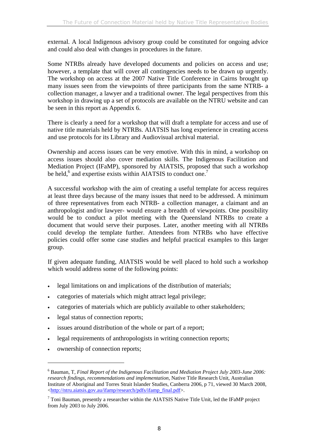external. A local Indigenous advisory group could be constituted for ongoing advice and could also deal with changes in procedures in the future.

Some NTRBs already have developed documents and policies on access and use; however, a template that will cover all contingencies needs to be drawn up urgently. The workshop on access at the 2007 Native Title Conference in Cairns brought up many issues seen from the viewpoints of three participants from the same NTRB- a collection manager, a lawyer and a traditional owner. The legal perspectives from this workshop in drawing up a set of protocols are available on the NTRU website and can be seen in this report as Appendix 6.

There is clearly a need for a workshop that will draft a template for access and use of native title materials held by NTRBs. AIATSIS has long experience in creating access and use protocols for its Library and Audiovisual archival material.

Ownership and access issues can be very emotive. With this in mind, a workshop on access issues should also cover mediation skills. The Indigenous Facilitation and Mediation Project (IFaMP), sponsored by AIATSIS, proposed that such a workshop be held,<sup>6</sup> and expertise exists within AIATSIS to conduct one.<sup>7</sup>

A successful workshop with the aim of creating a useful template for access requires at least three days because of the many issues that need to be addressed. A minimum of three representatives from each NTRB- a collection manager, a claimant and an anthropologist and/or lawyer- would ensure a breadth of viewpoints. One possibility would be to conduct a pilot meeting with the Queensland NTRBs to create a document that would serve their purposes. Later, another meeting with all NTRBs could develop the template further. Attendees from NTRBs who have effective policies could offer some case studies and helpful practical examples to this larger group.

If given adequate funding, AIATSIS would be well placed to hold such a workshop which would address some of the following points:

- legal limitations on and implications of the distribution of materials;
- categories of materials which might attract legal privilege;
- categories of materials which are publicly available to other stakeholders;
- legal status of connection reports;
- issues around distribution of the whole or part of a report;
- legal requirements of anthropologists in writing connection reports;
- ownership of connection reports;

<sup>6</sup> Bauman, T, *Final Report of the Indigenous Facilitation and Mediation Project July 2003-June 2006: research findings, recommendations and implementation*, Native Title Research Unit, Australian Institute of Aboriginal and Torres Strait Islander Studies, Canberra 2006, p 71, viewed 30 March 2008, <http://ntru.aiatsis.gov.au/ifamp/research/pdfs/ifamp\_final.pdf>.

 $7$  Toni Bauman, presently a researcher within the AIATSIS Native Title Unit, led the IFaMP project from July 2003 to July 2006.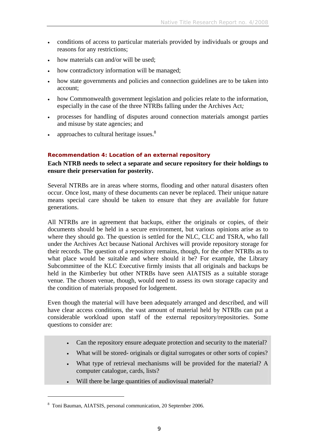- conditions of access to particular materials provided by individuals or groups and reasons for any restrictions;
- how materials can and/or will be used;
- how contradictory information will be managed;
- how state governments and policies and connection guidelines are to be taken into account;
- how Commonwealth government legislation and policies relate to the information, especially in the case of the three NTRBs falling under the Archives Act*;*
- processes for handling of disputes around connection materials amongst parties and misuse by state agencies; and
- approaches to cultural heritage issues. $8$

### **Recommendation 4: Location of an external repository**

**Each NTRB needs to select a separate and secure repository for their holdings to ensure their preservation for posterity.** 

Several NTRBs are in areas where storms, flooding and other natural disasters often occur. Once lost, many of these documents can never be replaced. Their unique nature means special care should be taken to ensure that they are available for future generations.

All NTRBs are in agreement that backups, either the originals or copies, of their documents should be held in a secure environment, but various opinions arise as to where they should go. The question is settled for the NLC, CLC and TSRA, who fall under the Archives Act because National Archives will provide repository storage for their records. The question of a repository remains, though, for the other NTRBs as to what place would be suitable and where should it be? For example, the Library Subcommittee of the KLC Executive firmly insists that all originals and backups be held in the Kimberley but other NTRBs have seen AIATSIS as a suitable storage venue. The chosen venue, though, would need to assess its own storage capacity and the condition of materials proposed for lodgement.

Even though the material will have been adequately arranged and described, and will have clear access conditions, the vast amount of material held by NTRBs can put a considerable workload upon staff of the external repository/repositories. Some questions to consider are:

- Can the repository ensure adequate protection and security to the material?
- What will be stored- originals or digital surrogates or other sorts of copies?
- What type of retrieval mechanisms will be provided for the material? A computer catalogue, cards, lists?
- Will there be large quantities of audiovisual material?

<sup>8</sup> Toni Bauman, AIATSIS, personal communication, 20 September 2006.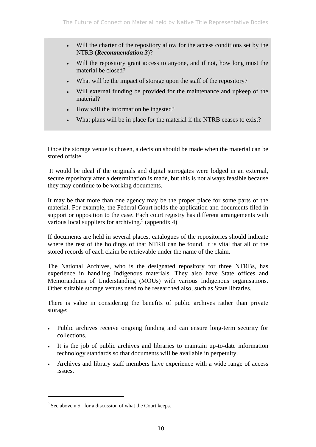- Will the charter of the repository allow for the access conditions set by the NTRB (*Recommendation 3*)?
- Will the repository grant access to anyone, and if not, how long must the material be closed?
- What will be the impact of storage upon the staff of the repository?
- Will external funding be provided for the maintenance and upkeep of the material?
- How will the information be ingested?
- What plans will be in place for the material if the NTRB ceases to exist?

Once the storage venue is chosen, a decision should be made when the material can be stored offsite.

 It would be ideal if the originals and digital surrogates were lodged in an external, secure repository after a determination is made, but this is not always feasible because they may continue to be working documents.

It may be that more than one agency may be the proper place for some parts of the material. For example, the Federal Court holds the application and documents filed in support or opposition to the case. Each court registry has different arrangements with various local suppliers for archiving.<sup>9</sup> (appendix 4)

If documents are held in several places, catalogues of the repositories should indicate where the rest of the holdings of that NTRB can be found. It is vital that all of the stored records of each claim be retrievable under the name of the claim.

The National Archives, who is the designated repository for three NTRBs, has experience in handling Indigenous materials. They also have State offices and Memorandums of Understanding (MOUs) with various Indigenous organisations. Other suitable storage venues need to be researched also, such as State libraries.

There is value in considering the benefits of public archives rather than private storage:

- Public archives receive ongoing funding and can ensure long-term security for collections.
- It is the job of public archives and libraries to maintain up-to-date information technology standards so that documents will be available in perpetuity.
- Archives and library staff members have experience with a wide range of access issues.

 $9^9$  See above n 5, for a discussion of what the Court keeps.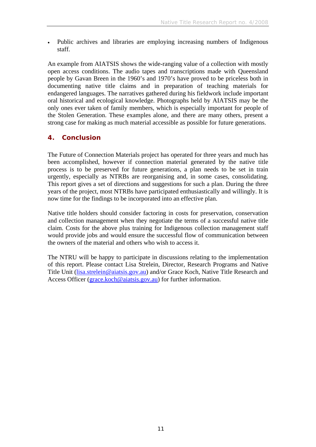• Public archives and libraries are employing increasing numbers of Indigenous staff.

An example from AIATSIS shows the wide-ranging value of a collection with mostly open access conditions. The audio tapes and transcriptions made with Queensland people by Gavan Breen in the 1960's and 1970's have proved to be priceless both in documenting native title claims and in preparation of teaching materials for endangered languages. The narratives gathered during his fieldwork include important oral historical and ecological knowledge. Photographs held by AIATSIS may be the only ones ever taken of family members, which is especially important for people of the Stolen Generation. These examples alone, and there are many others, present a strong case for making as much material accessible as possible for future generations.

## **4. Conclusion**

The Future of Connection Materials project has operated for three years and much has been accomplished, however if connection material generated by the native title process is to be preserved for future generations, a plan needs to be set in train urgently, especially as NTRBs are reorganising and, in some cases, consolidating. This report gives a set of directions and suggestions for such a plan. During the three years of the project, most NTRBs have participated enthusiastically and willingly. It is now time for the findings to be incorporated into an effective plan.

Native title holders should consider factoring in costs for preservation, conservation and collection management when they negotiate the terms of a successful native title claim. Costs for the above plus training for Indigenous collection management staff would provide jobs and would ensure the successful flow of communication between the owners of the material and others who wish to access it.

The NTRU will be happy to participate in discussions relating to the implementation of this report. Please contact Lisa Strelein, Director, Research Programs and Native Title Unit (lisa.strelein@aiatsis.gov.au) and/or Grace Koch, Native Title Research and Access Officer (grace.koch@aiatsis.gov.au) for further information.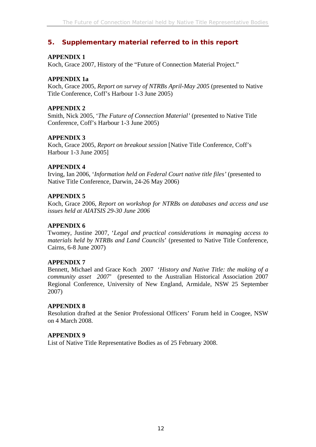# **5. Supplementary material referred to in this report**

## **APPENDIX 1**

Koch, Grace 2007, History of the "Future of Connection Material Project."

## **APPENDIX 1a**

Koch, Grace 2005, *Report on survey of NTRBs April-May 2005* (presented to Native Title Conference, Coff's Harbour 1-3 June 2005)

## **APPENDIX 2**

Smith, Nick 2005, '*The Future of Connection Material'* (presented to Native Title Conference, Coff's Harbour 1-3 June 2005)

## **APPENDIX 3**

Koch, Grace 2005, *Report on breakout session* [Native Title Conference, Coff's Harbour 1-3 June 2005]

## **APPENDIX 4**

Irving, Ian 2006, '*Information held on Federal Court native title files'* (presented to Native Title Conference, Darwin, 24-26 May 2006)

## **APPENDIX 5**

Koch, Grace 2006, *Report on workshop for NTRBs on databases and access and use issues held at AIATSIS 29-30 June 2006*

## **APPENDIX 6**

Twomey, Justine 2007, '*Legal and practical considerations in managing access to materials held by NTRBs and Land Councils*' (presented to Native Title Conference, Cairns, 6-8 June 2007)

## **APPENDIX 7**

Bennett, Michael and Grace Koch 2007 '*History and Native Title: the making of a community asset 2007*' (presented to the Australian Historical Association 2007 Regional Conference, University of New England, Armidale, NSW 25 September 2007)

## **APPENDIX 8**

Resolution drafted at the Senior Professional Officers' Forum held in Coogee, NSW on 4 March 2008.

## **APPENDIX 9**

List of Native Title Representative Bodies as of 25 February 2008.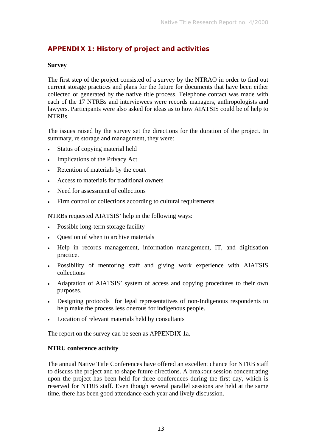# **APPENDIX 1: History of project and activities**

### **Survey**

The first step of the project consisted of a survey by the NTRAO in order to find out current storage practices and plans for the future for documents that have been either collected or generated by the native title process. Telephone contact was made with each of the 17 NTRBs and interviewees were records managers, anthropologists and lawyers. Participants were also asked for ideas as to how AIATSIS could be of help to **NTRBs** 

The issues raised by the survey set the directions for the duration of the project. In summary, re storage and management, they were:

- Status of copying material held
- Implications of the Privacy Act
- Retention of materials by the court
- Access to materials for traditional owners
- Need for assessment of collections
- Firm control of collections according to cultural requirements

NTRBs requested AIATSIS' help in the following ways:

- Possible long-term storage facility
- Question of when to archive materials
- Help in records management, information management, IT, and digitisation practice.
- Possibility of mentoring staff and giving work experience with AIATSIS collections
- Adaptation of AIATSIS' system of access and copying procedures to their own purposes.
- Designing protocols for legal representatives of non-Indigenous respondents to help make the process less onerous for indigenous people.
- Location of relevant materials held by consultants

The report on the survey can be seen as APPENDIX 1a.

### **NTRU conference activity**

The annual Native Title Conferences have offered an excellent chance for NTRB staff to discuss the project and to shape future directions. A breakout session concentrating upon the project has been held for three conferences during the first day, which is reserved for NTRB staff. Even though several parallel sessions are held at the same time, there has been good attendance each year and lively discussion.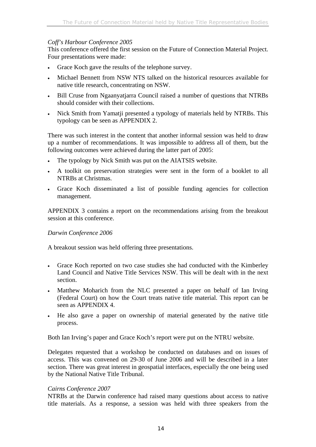### *Coff's Harbour Conference 2005*

This conference offered the first session on the Future of Connection Material Project. Four presentations were made:

- Grace Koch gave the results of the telephone survey.
- Michael Bennett from NSW NTS talked on the historical resources available for native title research, concentrating on NSW.
- Bill Cruse from Ngaanyatjarra Council raised a number of questions that NTRBs should consider with their collections.
- Nick Smith from Yamatji presented a typology of materials held by NTRBs. This typology can be seen as APPENDIX 2.

There was such interest in the content that another informal session was held to draw up a number of recommendations. It was impossible to address all of them, but the following outcomes were achieved during the latter part of 2005:

- The typology by Nick Smith was put on the AIATSIS website.
- A toolkit on preservation strategies were sent in the form of a booklet to all NTRBs at Christmas.
- Grace Koch disseminated a list of possible funding agencies for collection management.

APPENDIX 3 contains a report on the recommendations arising from the breakout session at this conference.

### *Darwin Conference 2006*

A breakout session was held offering three presentations.

- Grace Koch reported on two case studies she had conducted with the Kimberley Land Council and Native Title Services NSW. This will be dealt with in the next section.
- Matthew Moharich from the NLC presented a paper on behalf of Ian Irving (Federal Court) on how the Court treats native title material. This report can be seen as APPENDIX 4.
- He also gave a paper on ownership of material generated by the native title process.

Both Ian Irving's paper and Grace Koch's report were put on the NTRU website.

Delegates requested that a workshop be conducted on databases and on issues of access. This was convened on 29-30 of June 2006 and will be described in a later section. There was great interest in geospatial interfaces, especially the one being used by the National Native Title Tribunal.

### *Cairns Conference 2007*

NTRBs at the Darwin conference had raised many questions about access to native title materials. As a response, a session was held with three speakers from the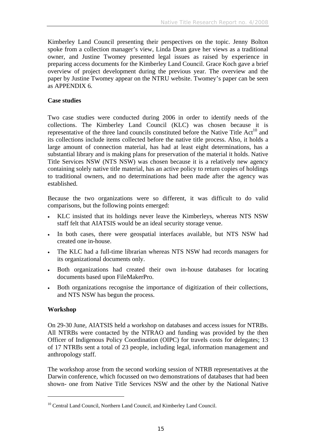Kimberley Land Council presenting their perspectives on the topic. Jenny Bolton spoke from a collection manager's view, Linda Dean gave her views as a traditional owner, and Justine Twomey presented legal issues as raised by experience in preparing access documents for the Kimberley Land Council. Grace Koch gave a brief overview of project development during the previous year. The overview and the paper by Justine Twomey appear on the NTRU website. Twomey's paper can be seen as APPENDIX 6.

### **Case studies**

Two case studies were conducted during 2006 in order to identify needs of the collections. The Kimberley Land Council (KLC) was chosen because it is representative of the three land councils constituted before the Native Title  $Act^{10}$  and its collections include items collected before the native title process. Also, it holds a large amount of connection material, has had at least eight determinations, has a substantial library and is making plans for preservation of the material it holds. Native Title Services NSW (NTS NSW) was chosen because it is a relatively new agency containing solely native title material, has an active policy to return copies of holdings to traditional owners, and no determinations had been made after the agency was established.

Because the two organizations were so different, it was difficult to do valid comparisons, but the following points emerged:

- KLC insisted that its holdings never leave the Kimberleys, whereas NTS NSW staff felt that AIATSIS would be an ideal security storage venue.
- In both cases, there were geospatial interfaces available, but NTS NSW had created one in-house.
- The KLC had a full-time librarian whereas NTS NSW had records managers for its organizational documents only.
- Both organizations had created their own in-house databases for locating documents based upon FileMakerPro.
- Both organizations recognise the importance of digitization of their collections, and NTS NSW has begun the process.

## **Workshop**

 $\overline{a}$ 

On 29-30 June, AIATSIS held a workshop on databases and access issues for NTRBs. All NTRBs were contacted by the NTRAO and funding was provided by the then Officer of Indigenous Policy Coordination (OIPC) for travels costs for delegates; 13 of 17 NTRBs sent a total of 23 people, including legal, information management and anthropology staff.

The workshop arose from the second working session of NTRB representatives at the Darwin conference, which focussed on two demonstrations of databases that had been shown- one from Native Title Services NSW and the other by the National Native

<sup>&</sup>lt;sup>10</sup> Central Land Council, Northern Land Council, and Kimberley Land Council.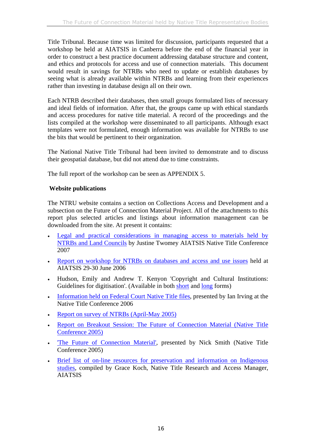Title Tribunal. Because time was limited for discussion, participants requested that a workshop be held at AIATSIS in Canberra before the end of the financial year in order to construct a best practice document addressing database structure and content, and ethics and protocols for access and use of connection materials. This document would result in savings for NTRBs who need to update or establish databases by seeing what is already available within NTRBs and learning from their experiences rather than investing in database design all on their own.

Each NTRB described their databases, then small groups formulated lists of necessary and ideal fields of information. After that, the groups came up with ethical standards and access procedures for native title material. A record of the proceedings and the lists compiled at the workshop were disseminated to all participants. Although exact templates were not formulated, enough information was available for NTRBs to use the bits that would be pertinent to their organization.

The National Native Title Tribunal had been invited to demonstrate and to discuss their geospatial database, but did not attend due to time constraints.

The full report of the workshop can be seen as APPENDIX 5.

## **Website publications**

The NTRU website contains a section on Collections Access and Development and a subsection on the Future of Connection Material Project. All of the attachments to this report plus selected articles and listings about information management can be downloaded from the site. At present it contains:

- Legal and practical considerations in managing access to materials held by NTRBs and Land Councils by Justine Twomey AIATSIS Native Title Conference 2007
- Report on workshop for NTRBs on databases and access and use issues held at AIATSIS 29-30 June 2006
- Hudson, Emily and Andrew T. Kenyon 'Copyright and Cultural Institutions: Guidelines for digitisation'. (Available in both short and long forms)
- Information held on Federal Court Native Title files, presented by Ian Irving at the Native Title Conference 2006
- Report on survey of NTRBs (April-May 2005)
- Report on Breakout Session: The Future of Connection Material (Native Title Conference 2005)
- 'The Future of Connection Material', presented by Nick Smith (Native Title Conference 2005)
- Brief list of on-line resources for preservation and information on Indigenous studies, compiled by Grace Koch, Native Title Research and Access Manager, AIATSIS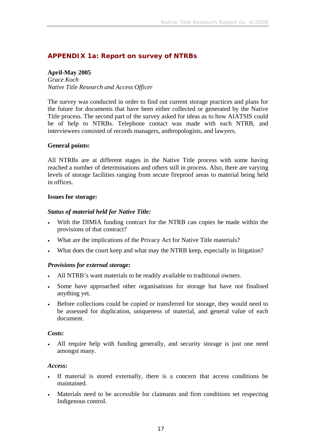# **APPENDIX 1a: Report on survey of NTRBs**

## **April-May 2005**

*Grace Koch Native Title Research and Access Officer* 

The survey was conducted in order to find out current storage practices and plans for the future for documents that have been either collected or generated by the Native Title process. The second part of the survey asked for ideas as to how AIATSIS could be of help to NTRBs. Telephone contact was made with each NTRB, and interviewees consisted of records managers, anthropologists, and lawyers.

### **General points:**

All NTRBs are at different stages in the Native Title process with some having reached a number of determinations and others still in process. Also, there are varying levels of storage facilities ranging from secure fireproof areas to material being held in offices.

### **Issues for storage:**

### *Status of material held for Native Title:*

- With the DIMIA funding contract for the NTRB can copies be made within the provisions of that contract?
- What are the implications of the Privacy Act for Native Title materials?
- What does the court keep and what may the NTRB keep, especially in litigation?

## *Provisions for external storage:*

- All NTRB's want materials to be readily available to traditional owners.
- Some have approached other organisations for storage but have not finalised anything yet.
- Before collections could be copied or transferred for storage, they would need to be assessed for duplication, uniqueness of material, and general value of each document.

### *Costs:*

All require help with funding generally, and security storage is just one need amongst many.

### *Access:*

- If material is stored externally, there is a concern that access conditions be maintained.
- Materials need to be accessible for claimants and firm conditions set respecting Indigenous control.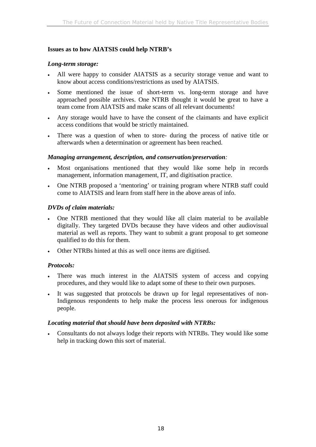### **Issues as to how AIATSIS could help NTRB's**

### *Long-term storage:*

- All were happy to consider AIATSIS as a security storage venue and want to know about access conditions/restrictions as used by AIATSIS.
- Some mentioned the issue of short-term vs. long-term storage and have approached possible archives. One NTRB thought it would be great to have a team come from AIATSIS and make scans of all relevant documents!
- Any storage would have to have the consent of the claimants and have explicit access conditions that would be strictly maintained.
- There was a question of when to store- during the process of native title or afterwards when a determination or agreement has been reached.

### *Managing arrangement, description, and conservation/preservation:*

- Most organisations mentioned that they would like some help in records management, information management, IT, and digitisation practice.
- One NTRB proposed a 'mentoring' or training program where NTRB staff could come to AIATSIS and learn from staff here in the above areas of info.

### *DVDs of claim materials:*

- One NTRB mentioned that they would like all claim material to be available digitally. They targeted DVDs because they have videos and other audiovisual material as well as reports. They want to submit a grant proposal to get someone qualified to do this for them.
- Other NTRBs hinted at this as well once items are digitised.

## *Protocols:*

- There was much interest in the AIATSIS system of access and copying procedures, and they would like to adapt some of these to their own purposes.
- It was suggested that protocols be drawn up for legal representatives of non-Indigenous respondents to help make the process less onerous for indigenous people.

### *Locating material that should have been deposited with NTRBs:*

• Consultants do not always lodge their reports with NTRBs. They would like some help in tracking down this sort of material.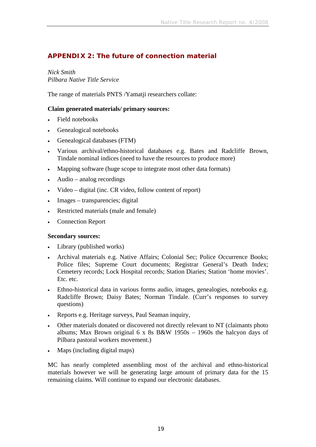# **APPENDIX 2: The future of connection material**

*Nick Smith Pilbara Native Title Service* 

The range of materials PNTS /Yamatji researchers collate:

### **Claim generated materials/ primary sources:**

- Field notebooks
- Genealogical notebooks
- Genealogical databases (FTM)
- Various archival/ethno-historical databases e.g. Bates and Radcliffe Brown, Tindale nominal indices (need to have the resources to produce more)
- Mapping software (huge scope to integrate most other data formats)
- Audio analog recordings
- Video digital (inc. CR video, follow content of report)
- Images transparencies; digital
- Restricted materials (male and female)
- Connection Report

### **Secondary sources:**

- Library (published works)
- Archival materials e.g. Native Affairs; Colonial Sec; Police Occurrence Books; Police files; Supreme Court documents; Registrar General's Death Index; Cemetery records; Lock Hospital records; Station Diaries; Station 'home movies'. Etc. etc.
- Ethno-historical data in various forms audio, images, genealogies, notebooks e.g. Radcliffe Brown; Daisy Bates; Norman Tindale. (Curr's responses to survey questions)
- Reports e.g. Heritage surveys, Paul Seaman inquiry,
- Other materials donated or discovered not directly relevant to NT (claimants photo albums; Max Brown original 6 x 8s B&W 1950s – 1960s the halcyon days of Pilbara pastoral workers movement.)
- Maps (including digital maps)

MC has nearly completed assembling most of the archival and ethno-historical materials however we will be generating large amount of primary data for the 15 remaining claims. Will continue to expand our electronic databases.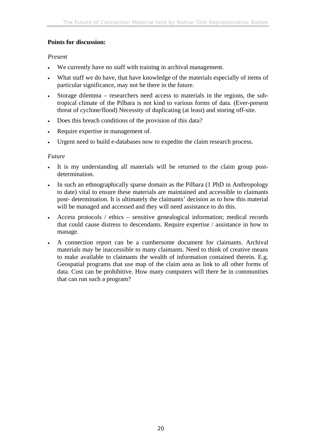## **Points for discussion:**

## *Present*

- We currently have no staff with training in archival management.
- What staff we do have, that have knowledge of the materials especially of items of particular significance, may not be there in the future.
- Storage dilemma researchers need access to materials in the regions, the subtropical climate of the Pilbara is not kind to various forms of data. (Ever-present threat of cyclone/flood) Necessity of duplicating (at least) and storing off-site.
- Does this breach conditions of the provision of this data?
- Require expertise in management of.
- Urgent need to build e-databases now to expedite the claim research process.

## *Future*

- It is my understanding all materials will be returned to the claim group postdetermination.
- In such an ethnographically sparse domain as the Pilbara (1 PhD in Anthropology to date) vital to ensure these materials are maintained and accessible to claimants post- determination. It is ultimately the claimants' decision as to how this material will be managed and accessed and they will need assistance to do this.
- Access protocols / ethics sensitive genealogical information; medical records that could cause distress to descendants. Require expertise / assistance in how to manage.
- A connection report can be a cumbersome document for claimants. Archival materials may be inaccessible to many claimants. Need to think of creative means to make available to claimants the wealth of information contained therein. E.g. Geospatial programs that use map of the claim area as link to all other forms of data. Cost can be prohibitive. How many computers will there be in communities that can run such a program?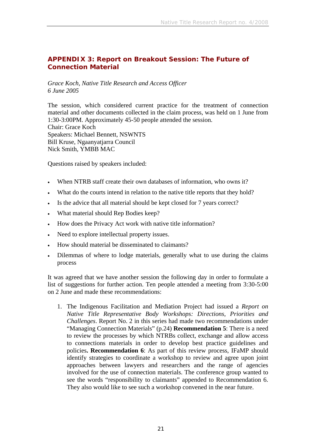## **APPENDIX 3: Report on Breakout Session: The Future of Connection Material**

*Grace Koch, Native Title Research and Access Officer 6 June 2005* 

The session, which considered current practice for the treatment of connection material and other documents collected in the claim process, was held on 1 June from 1:30-3:00PM. Approximately 45-50 people attended the session. Chair: Grace Koch Speakers: Michael Bennett, NSWNTS Bill Kruse, Ngaanyatjarra Council Nick Smith, YMBB MAC

Questions raised by speakers included:

- When NTRB staff create their own databases of information, who owns it?
- What do the courts intend in relation to the native title reports that they hold?
- Is the advice that all material should be kept closed for 7 years correct?
- What material should Rep Bodies keep?
- How does the Privacy Act work with native title information?
- Need to explore intellectual property issues.
- How should material be disseminated to claimants?
- Dilemmas of where to lodge materials, generally what to use during the claims process

It was agreed that we have another session the following day in order to formulate a list of suggestions for further action. Ten people attended a meeting from 3:30-5:00 on 2 June and made these recommendations:

1. The Indigenous Facilitation and Mediation Project had issued a *Report on Native Title Representative Body Workshops: Directions, Priorities and Challenges*. Report No. 2 in this series had made two recommendations under "Managing Connection Materials" (p.24) **Recommendation 5**: There is a need to review the processes by which NTRBs collect, exchange and allow access to connections materials in order to develop best practice guidelines and policies**. Recommendation 6**: As part of this review process, IFaMP should identify strategies to coordinate a workshop to review and agree upon joint approaches between lawyers and researchers and the range of agencies involved for the use of connection materials. The conference group wanted to see the words "responsibility to claimants" appended to Recommendation 6. They also would like to see such a workshop convened in the near future.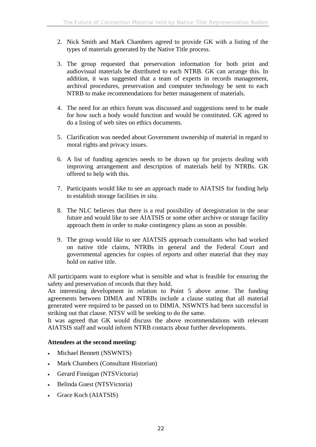- 2. Nick Smith and Mark Chambers agreed to provide GK with a listing of the types of materials generated by the Native Title process.
- 3. The group requested that preservation information for both print and audiovisual materials be distributed to each NTRB. GK can arrange this. In addition, it was suggested that a team of experts in records management, archival procedures, preservation and computer technology be sent to each NTRB to make recommendations for better management of materials.
- 4. The need for an ethics forum was discussed and suggestions need to be made for how such a body would function and would be constituted. GK agreed to do a listing of web sites on ethics documents.
- 5. Clarification was needed about Government ownership of material in regard to moral rights and privacy issues.
- 6. A list of funding agencies needs to be drawn up for projects dealing with improving arrangement and description of materials held by NTRBs. GK offered to help with this.
- 7. Participants would like to see an approach made to AIATSIS for funding help to establish storage facilities *in situ*.
- 8. The NLC believes that there is a real possibility of deregistration in the near future and would like to see AIATSIS or some other archive or storage facility approach them in order to make contingency plans as soon as possible.
- 9. The group would like to see AIATSIS approach consultants who had worked on native title claims, NTRBs in general and the Federal Court and governmental agencies for copies of reports and other material that they may hold on native title.

All participants want to explore what is sensible and what is feasible for ensuring the safety and preservation of records that they hold.

An interesting development in relation to Point 5 above arose. The funding agreements between DIMIA and NTRBs include a clause stating that all material generated were required to be passed on to DIMIA. NSWNTS had been successful in striking out that clause. NTSV will be seeking to do the same.

It was agreed that GK would discuss the above recommendations with relevant AIATSIS staff and would inform NTRB contacts about further developments.

## **Attendees at the second meeting:**

- Michael Bennett (NSWNTS)
- Mark Chambers (Consultant Historian)
- Gerard Finnigan (NTSVictoria)
- Belinda Guest (NTSVictoria)
- Grace Koch (AIATSIS)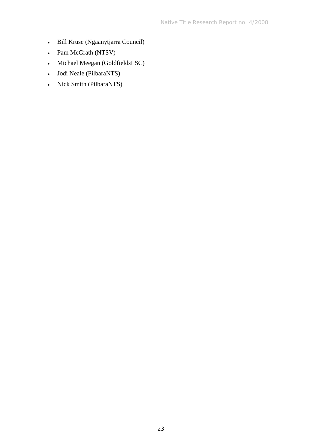- Bill Kruse (Ngaanytjarra Council)
- Pam McGrath (NTSV)
- Michael Meegan (GoldfieldsLSC)
- Jodi Neale (PilbaraNTS)
- Nick Smith (PilbaraNTS)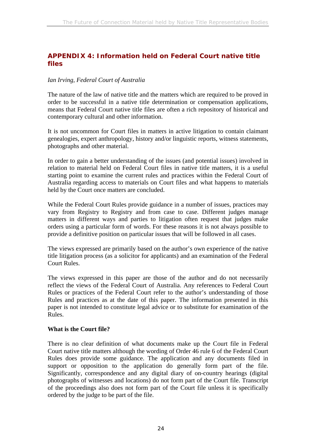# **APPENDIX 4: Information held on Federal Court native title files**

### *Ian Irving, Federal Court of Australia*

The nature of the law of native title and the matters which are required to be proved in order to be successful in a native title determination or compensation applications, means that Federal Court native title files are often a rich repository of historical and contemporary cultural and other information.

It is not uncommon for Court files in matters in active litigation to contain claimant genealogies, expert anthropology, history and/or linguistic reports, witness statements, photographs and other material.

In order to gain a better understanding of the issues (and potential issues) involved in relation to material held on Federal Court files in native title matters, it is a useful starting point to examine the current rules and practices within the Federal Court of Australia regarding access to materials on Court files and what happens to materials held by the Court once matters are concluded.

While the Federal Court Rules provide guidance in a number of issues, practices may vary from Registry to Registry and from case to case. Different judges manage matters in different ways and parties to litigation often request that judges make orders using a particular form of words. For these reasons it is not always possible to provide a definitive position on particular issues that will be followed in all cases.

The views expressed are primarily based on the author's own experience of the native title litigation process (as a solicitor for applicants) and an examination of the Federal Court Rules.

The views expressed in this paper are those of the author and do not necessarily reflect the views of the Federal Court of Australia. Any references to Federal Court Rules or practices of the Federal Court refer to the author's understanding of those Rules and practices as at the date of this paper. The information presented in this paper is not intended to constitute legal advice or to substitute for examination of the Rules.

### **What is the Court file?**

There is no clear definition of what documents make up the Court file in Federal Court native title matters although the wording of Order 46 rule 6 of the Federal Court Rules does provide some guidance. The application and any documents filed in support or opposition to the application do generally form part of the file. Significantly, correspondence and any digital diary of on-country hearings (digital photographs of witnesses and locations) do not form part of the Court file. Transcript of the proceedings also does not form part of the Court file unless it is specifically ordered by the judge to be part of the file.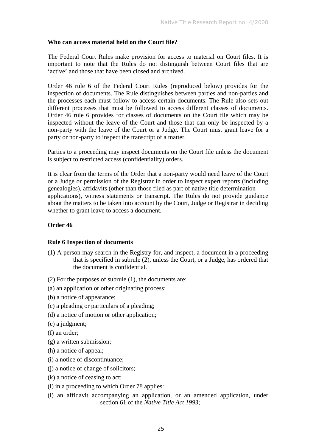### **Who can access material held on the Court file?**

The Federal Court Rules make provision for access to material on Court files. It is important to note that the Rules do not distinguish between Court files that are 'active' and those that have been closed and archived.

Order 46 rule 6 of the Federal Court Rules (reproduced below) provides for the inspection of documents. The Rule distinguishes between parties and non-parties and the processes each must follow to access certain documents. The Rule also sets out different processes that must be followed to access different classes of documents. Order 46 rule 6 provides for classes of documents on the Court file which may be inspected without the leave of the Court and those that can only be inspected by a non-party with the leave of the Court or a Judge. The Court must grant leave for a party or non-party to inspect the transcript of a matter.

Parties to a proceeding may inspect documents on the Court file unless the document is subject to restricted access (confidentiality) orders.

It is clear from the terms of the Order that a non-party would need leave of the Court or a Judge or permission of the Registrar in order to inspect expert reports (including genealogies), affidavits (other than those filed as part of native title determination applications), witness statements or transcript. The Rules do not provide guidance about the matters to be taken into account by the Court, Judge or Registrar in deciding whether to grant leave to access a document.

### **Order 46**

### **Rule 6 Inspection of documents**

(1) A person may search in the Registry for, and inspect, a document in a proceeding that is specified in subrule (2), unless the Court, or a Judge, has ordered that the document is confidential.

(2) For the purposes of subrule (1), the documents are:

- (a) an application or other originating process;
- (b) a notice of appearance;
- (c) a pleading or particulars of a pleading;
- (d) a notice of motion or other application;
- (e) a judgment;
- (f) an order;
- (g) a written submission;
- (h) a notice of appeal;
- (i) a notice of discontinuance;
- (j) a notice of change of solicitors;
- (k) a notice of ceasing to act;
- (l) in a proceeding to which Order 78 applies:
- (i) an affidavit accompanying an application, or an amended application, under section 61 of the *Native Title Act 1993*;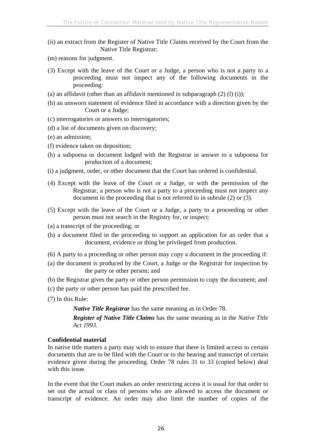- (ii) an extract from the Register of Native Title Claims received by the Court from the Native Title Registrar;
- (m) reasons for judgment.
- (3) Except with the leave of the Court or a Judge, a person who is not a party to a proceeding must not inspect any of the following documents in the proceeding:
- (a) an affidavit (other than an affidavit mentioned in subparagraph  $(2)$   $(l)$   $(i)$ ;
- (b) an unsworn statement of evidence filed in accordance with a direction given by the Court or a Judge;
- (c) interrogatories or answers to interrogatories;
- (d) a list of documents given on discovery;
- (e) an admission;
- (f) evidence taken on deposition;
- (h) a subpoena or document lodged with the Registrar in answer to a subpoena for production of a document;
- (i) a judgment, order, or other document that the Court has ordered is confidential.
- (4) Except with the leave of the Court or a Judge, or with the permission of the Registrar, a person who is not a party to a proceeding must not inspect any document in the proceeding that is not referred to in subrule (2) or (3).
- (5) Except with the leave of the Court or a Judge, a party to a proceeding or other person must not search in the Registry for, or inspect:
- (a) a transcript of the proceeding; or
- (b) a document filed in the proceeding to support an application for an order that a document, evidence or thing be privileged from production.
- (6) A party to a proceeding or other person may copy a document in the proceeding if:
- (a) the document is produced by the Court, a Judge or the Registrar for inspection by the party or other person; and
- (b) the Registrar gives the party or other person permission to copy the document; and
- (c) the party or other person has paid the prescribed fee.
- (7) In this Rule:

*Native Title Registrar* has the same meaning as in Order 78.

*Register of Native Title Claims* has the same meaning as in the *Native Title Act 1993*.

## **Confidential material**

In native title matters a party may wish to ensure that there is limited access to certain documents that are to be filed with the Court or to the hearing and transcript of certain evidence given during the proceeding. Order 78 rules 31 to 33 (copied below) deal with this issue.

In the event that the Court makes an order restricting access it is usual for that order to set out the actual or class of persons who are allowed to access the document or transcript of evidence. An order may also limit the number of copies of the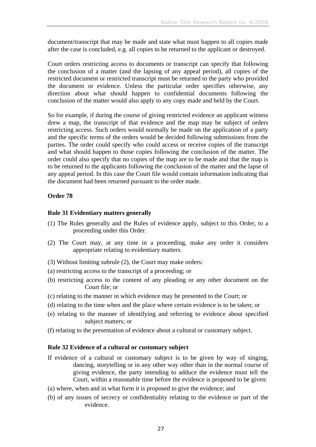document/transcript that may be made and state what must happen to all copies made after the case is concluded, e.g. all copies to be returned to the applicant or destroyed.

Court orders restricting access to documents or transcript can specify that following the conclusion of a matter (and the lapsing of any appeal period), all copies of the restricted document or restricted transcript must be returned to the party who provided the document or evidence. Unless the particular order specifies otherwise, any direction about what should happen to confidential documents following the conclusion of the matter would also apply to any copy made and held by the Court.

So for example, if during the course of giving restricted evidence an applicant witness drew a map, the transcript of that evidence and the map may be subject of orders restricting access. Such orders would normally be made on the application of a party and the specific terms of the orders would be decided following submissions from the parties. The order could specify who could access or receive copies of the transcript and what should happen to those copies following the conclusion of the matter. The order could also specify that no copies of the map are to be made and that the map is to be returned to the applicants following the conclusion of the matter and the lapse of any appeal period. In this case the Court file would contain information indicating that the document had been returned pursuant to the order made.

## **Order 78**

### **Rule 31 Evidentiary matters generally**

- (1) The Rules generally and the Rules of evidence apply, subject to this Order, to a proceeding under this Order.
- (2) The Court may, at any time in a proceeding, make any order it considers appropriate relating to evidentiary matters.
- (3) Without limiting subrule (2), the Court may make orders:
- (a) restricting access to the transcript of a proceeding; or
- (b) restricting access to the content of any pleading or any other document on the Court file; or
- (c) relating to the manner in which evidence may be presented to the Court; or
- (d) relating to the time when and the place where certain evidence is to be taken; or
- (e) relating to the manner of identifying and referring to evidence about specified subject matters; or
- (f) relating to the presentation of evidence about a cultural or customary subject.

### **Rule 32 Evidence of a cultural or customary subject**

- If evidence of a cultural or customary subject is to be given by way of singing, dancing, storytelling or in any other way other than in the normal course of giving evidence, the party intending to adduce the evidence must tell the Court, within a reasonable time before the evidence is proposed to be given:
- (a) where, when and in what form it is proposed to give the evidence; and
- (b) of any issues of secrecy or confidentiality relating to the evidence or part of the evidence.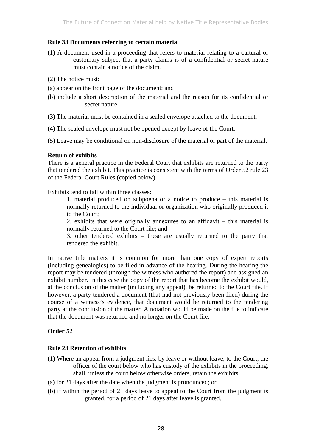## **Rule 33 Documents referring to certain material**

- (1) A document used in a proceeding that refers to material relating to a cultural or customary subject that a party claims is of a confidential or secret nature must contain a notice of the claim.
- (2) The notice must:
- (a) appear on the front page of the document; and
- (b) include a short description of the material and the reason for its confidential or secret nature.
- (3) The material must be contained in a sealed envelope attached to the document.
- (4) The sealed envelope must not be opened except by leave of the Court.

(5) Leave may be conditional on non-disclosure of the material or part of the material.

## **Return of exhibits**

There is a general practice in the Federal Court that exhibits are returned to the party that tendered the exhibit. This practice is consistent with the terms of Order 52 rule 23 of the Federal Court Rules (copied below).

Exhibits tend to fall within three classes:

1. material produced on subpoena or a notice to produce – this material is normally returned to the individual or organization who originally produced it to the Court;

2. exhibits that were originally annexures to an affidavit – this material is normally returned to the Court file; and

3. other tendered exhibits – these are usually returned to the party that tendered the exhibit.

In native title matters it is common for more than one copy of expert reports (including genealogies) to be filed in advance of the hearing. During the hearing the report may be tendered (through the witness who authored the report) and assigned an exhibit number. In this case the copy of the report that has become the exhibit would, at the conclusion of the matter (including any appeal), be returned to the Court file. If however, a party tendered a document (that had not previously been filed) during the course of a witness's evidence, that document would be returned to the tendering party at the conclusion of the matter. A notation would be made on the file to indicate that the document was returned and no longer on the Court file.

## **Order 52**

## **Rule 23 Retention of exhibits**

- (1) Where an appeal from a judgment lies, by leave or without leave, to the Court, the officer of the court below who has custody of the exhibits in the proceeding, shall, unless the court below otherwise orders, retain the exhibits:
- (a) for 21 days after the date when the judgment is pronounced; or
- (b) if within the period of 21 days leave to appeal to the Court from the judgment is granted, for a period of 21 days after leave is granted.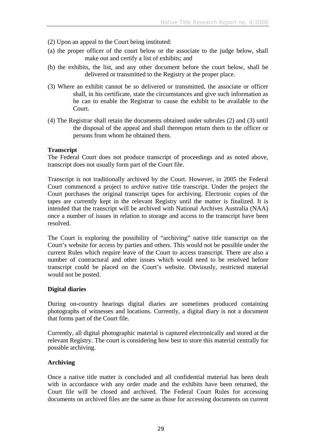- (2) Upon an appeal to the Court being instituted:
- (a) the proper officer of the court below or the associate to the judge below, shall make out and certify a list of exhibits; and
- (b) the exhibits, the list, and any other document before the court below, shall be delivered or transmitted to the Registry at the proper place.
- (3) Where an exhibit cannot be so delivered or transmitted, the associate or officer shall, in his certificate, state the circumstances and give such information as he can to enable the Registrar to cause the exhibit to be available to the Court.
- (4) The Registrar shall retain the documents obtained under subrules (2) and (3) until the disposal of the appeal and shall thereupon return them to the officer or persons from whom he obtained them.

### **Transcript**

The Federal Court does not produce transcript of proceedings and as noted above, transcript does not usually form part of the Court file.

Transcript is not traditionally archived by the Court. However, in 2005 the Federal Court commenced a project to archive native title transcript. Under the project the Court purchases the original transcript tapes for archiving. Electronic copies of the tapes are currently kept in the relevant Registry until the matter is finalized. It is intended that the transcript will be archived with National Archives Australia (NAA) once a number of issues in relation to storage and access to the transcript have been resolved.

The Court is exploring the possibility of "archiving" native title transcript on the Court's website for access by parties and others. This would not be possible under the current Rules which require leave of the Court to access transcript. There are also a number of contractural and other issues which would need to be resolved before transcript could be placed on the Court's website. Obviously, restricted material would not be posted.

## **Digital diaries**

During on-country hearings digital diaries are sometimes produced containing photographs of witnesses and locations. Currently, a digital diary is not a document that forms part of the Court file.

Currently, all digital photographic material is captured electronically and stored at the relevant Registry. The court is considering how best to store this material centrally for possible archiving.

### **Archiving**

Once a native title matter is concluded and all confidential material has been dealt with in accordance with any order made and the exhibits have been returned, the Court file will be closed and archived. The Federal Court Rules for accessing documents on archived files are the same as those for accessing documents on current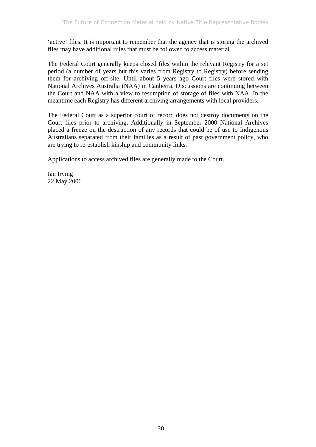'active' files. It is important to remember that the agency that is storing the archived files may have additional rules that must be followed to access material.

The Federal Court generally keeps closed files within the relevant Registry for a set period (a number of years but this varies from Registry to Registry) before sending them for archiving off-site. Until about 5 years ago Court files were stored with National Archives Australia (NAA) in Canberra. Discussions are continuing between the Court and NAA with a view to resumption of storage of files with NAA. In the meantime each Registry has different archiving arrangements with local providers.

The Federal Court as a superior court of record does not destroy documents on the Court files prior to archiving. Additionally in September 2000 National Archives placed a freeze on the destruction of any records that could be of use to Indigenous Australians separated from their families as a result of past government policy, who are trying to re-establish kinship and community links.

Applications to access archived files are generally made to the Court.

Ian Irving 22 May 2006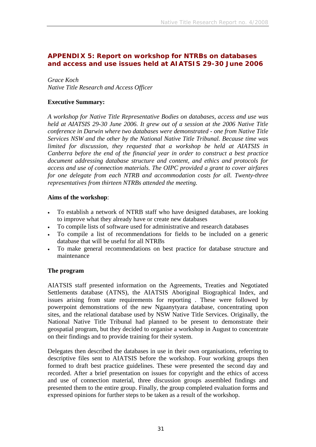## **APPENDIX 5: Report on workshop for NTRBs on databases and access and use issues held at AIATSIS 29-30 June 2006**

*Grace Koch Native Title Research and Access Officer* 

### **Executive Summary:**

*A workshop for Native Title Representative Bodies on databases, access and use was held at AIATSIS 29-30 June 2006. It grew out of a session at the 2006 Native Title conference in Darwin where two databases were demonstrated - one from Native Title Services NSW and the other by the National Native Title Tribunal. Because time was limited for discussion, they requested that a workshop be held at AIATSIS in Canberra before the end of the financial year in order to construct a best practice document addressing database structure and content, and ethics and protocols for access and use of connection materials. The OIPC provided a grant to cover airfares for one delegate from each NTRB and accommodation costs for all. Twenty-three representatives from thirteen NTRBs attended the meeting.* 

### **Aims of the workshop**:

- To establish a network of NTRB staff who have designed databases, are looking to improve what they already have or create new databases
- To compile lists of software used for administrative and research databases
- To compile a list of recommendations for fields to be included on a generic database that will be useful for all NTRBs
- To make general recommendations on best practice for database structure and maintenance

### **The program**

AIATSIS staff presented information on the Agreements, Treaties and Negotiated Settlements database (ATNS), the AIATSIS Aboriginal Biographical Index, and issues arising from state requirements for reporting . These were followed by powerpoint demonstrations of the new Ngaanytyara database, concentrating upon sites, and the relational database used by NSW Native Title Services. Originally, the National Native Title Tribunal had planned to be present to demonstrate their geospatial program, but they decided to organise a workshop in August to concentrate on their findings and to provide training for their system.

Delegates then described the databases in use in their own organisations, referring to descriptive files sent to AIATSIS before the workshop. Four working groups then formed to draft best practice guidelines. These were presented the second day and recorded. After a brief presentation on issues for copyright and the ethics of access and use of connection material, three discussion groups assembled findings and presented them to the entire group. Finally, the group completed evaluation forms and expressed opinions for further steps to be taken as a result of the workshop.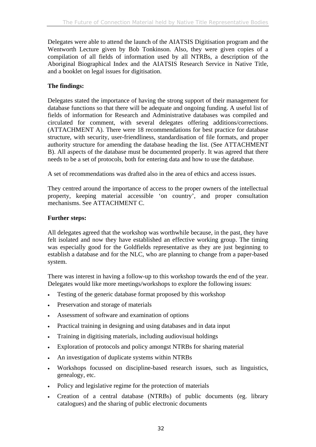Delegates were able to attend the launch of the AIATSIS Digitisation program and the Wentworth Lecture given by Bob Tonkinson. Also, they were given copies of a compilation of all fields of information used by all NTRBs, a description of the Aboriginal Biographical Index and the AIATSIS Research Service in Native Title, and a booklet on legal issues for digitisation.

## **The findings:**

Delegates stated the importance of having the strong support of their management for database functions so that there will be adequate and ongoing funding. A useful list of fields of information for Research and Administrative databases was compiled and circulated for comment, with several delegates offering additions/corrections. (ATTACHMENT A). There were 18 recommendations for best practice for database structure, with security, user-friendliness, standardisation of file formats, and proper authority structure for amending the database heading the list. (See ATTACHMENT B). All aspects of the database must be documented properly. It was agreed that there needs to be a set of protocols, both for entering data and how to use the database.

A set of recommendations was drafted also in the area of ethics and access issues.

They centred around the importance of access to the proper owners of the intellectual property, keeping material accessible 'on country', and proper consultation mechanisms. See ATTACHMENT C.

## **Further steps:**

All delegates agreed that the workshop was worthwhile because, in the past, they have felt isolated and now they have established an effective working group. The timing was especially good for the Goldfields representative as they are just beginning to establish a database and for the NLC, who are planning to change from a paper-based system.

There was interest in having a follow-up to this workshop towards the end of the year. Delegates would like more meetings/workshops to explore the following issues:

- Testing of the generic database format proposed by this workshop
- Preservation and storage of materials
- Assessment of software and examination of options
- Practical training in designing and using databases and in data input
- Training in digitising materials, including audiovisual holdings
- Exploration of protocols and policy amongst NTRBs for sharing material
- An investigation of duplicate systems within NTRBs
- Workshops focussed on discipline-based research issues, such as linguistics, genealogy, etc.
- Policy and legislative regime for the protection of materials
- Creation of a central database (NTRBs) of public documents (eg. library catalogues) and the sharing of public electronic documents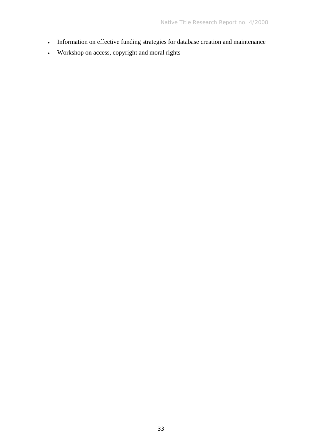- Information on effective funding strategies for database creation and maintenance
- Workshop on access, copyright and moral rights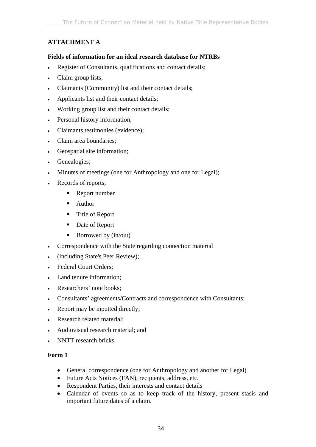# **ATTACHMENT A**

### **Fields of information for an ideal research database for NTRBs**

- Register of Consultants, qualifications and contact details;
- Claim group lists;
- Claimants (Community) list and their contact details;
- Applicants list and their contact details;
- Working group list and their contact details;
- Personal history information;
- Claimants testimonies (evidence);
- Claim area boundaries;
- Geospatial site information;
- Genealogies;
- Minutes of meetings (one for Anthropology and one for Legal);
- Records of reports;
	- Report number
	- **Author**
	- Title of Report
	- Date of Report
	- Borrowed by  $(in/out)$
- Correspondence with the State regarding connection material
- (including State's Peer Review);
- Federal Court Orders;
- Land tenure information;
- Researchers' note books:
- Consultants' agreements/Contracts and correspondence with Consultants;
- Report may be inputted directly;
- Research related material;
- Audiovisual research material; and
- NNTT research bricks.

## **Form 1**

- General correspondence (one for Anthropology and another for Legal)
- Future Acts Notices (FAN), recipients, address, etc.
- Respondent Parties, their interests and contact details
- Calendar of events so as to keep track of the history, present stasis and important future dates of a claim.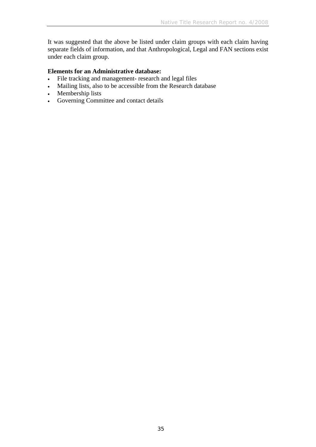It was suggested that the above be listed under claim groups with each claim having separate fields of information, and that Anthropological, Legal and FAN sections exist under each claim group.

### **Elements for an Administrative database:**

- File tracking and management- research and legal files
- Mailing lists, also to be accessible from the Research database
- Membership lists
- Governing Committee and contact details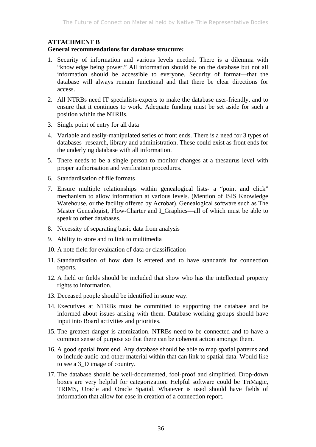### **ATTACHMENT B**

### **General recommendations for database structure:**

- 1. Security of information and various levels needed. There is a dilemma with "knowledge being power." All information should be on the database but not all information should be accessible to everyone. Security of format—that the database will always remain functional and that there be clear directions for access.
- 2. All NTRBs need IT specialists-experts to make the database user-friendly, and to ensure that it continues to work. Adequate funding must be set aside for such a position within the NTRBs.
- 3. Single point of entry for all data
- 4. Variable and easily-manipulated series of front ends. There is a need for 3 types of databases- research, library and administration. These could exist as front ends for the underlying database with all information.
- 5. There needs to be a single person to monitor changes at a thesaurus level with proper authorisation and verification procedures.
- 6. Standardisation of file formats
- 7. Ensure multiple relationships within genealogical lists- a "point and click" mechanism to allow information at various levels. (Mention of ISIS Knowledge Warehouse, or the facility offered by Acrobat). Genealogical software such as The Master Genealogist, Flow-Charter and I\_Graphics—all of which must be able to speak to other databases.
- 8. Necessity of separating basic data from analysis
- 9. Ability to store and to link to multimedia
- 10. A note field for evaluation of data or classification
- 11. Standardisation of how data is entered and to have standards for connection reports.
- 12. A field or fields should be included that show who has the intellectual property rights to information.
- 13. Deceased people should be identified in some way.
- 14. Executives at NTRBs must be committed to supporting the database and be informed about issues arising with them. Database working groups should have input into Board activities and priorities.
- 15. The greatest danger is atomization. NTRBs need to be connected and to have a common sense of purpose so that there can be coherent action amongst them.
- 16. A good spatial front end. Any database should be able to map spatial patterns and to include audio and other material within that can link to spatial data. Would like to see a 3\_D image of country.
- 17. The database should be well-documented, fool-proof and simplified. Drop-down boxes are very helpful for categorization. Helpful software could be TriMagic, TRIMS, Oracle and Oracle Spatial. Whatever is used should have fields of information that allow for ease in creation of a connection report.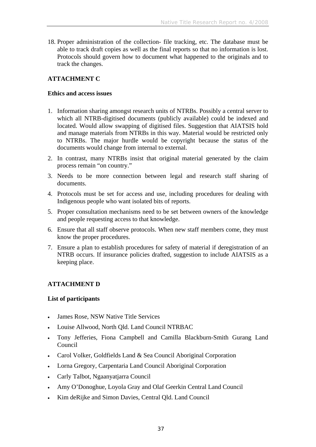18. Proper administration of the collection- file tracking, etc. The database must be able to track draft copies as well as the final reports so that no information is lost. Protocols should govern how to document what happened to the originals and to track the changes.

## **ATTACHMENT C**

### **Ethics and access issues**

- 1. Information sharing amongst research units of NTRBs. Possibly a central server to which all NTRB-digitised documents (publicly available) could be indexed and located. Would allow swapping of digitised files. Suggestion that AIATSIS hold and manage materials from NTRBs in this way. Material would be restricted only to NTRBs. The major hurdle would be copyright because the status of the documents would change from internal to external.
- 2. In contrast, many NTRBs insist that original material generated by the claim process remain "on country."
- 3. Needs to be more connection between legal and research staff sharing of documents.
- 4. Protocols must be set for access and use, including procedures for dealing with Indigenous people who want isolated bits of reports.
- 5. Proper consultation mechanisms need to be set between owners of the knowledge and people requesting access to that knowledge.
- 6. Ensure that all staff observe protocols. When new staff members come, they must know the proper procedures.
- 7. Ensure a plan to establish procedures for safety of material if deregistration of an NTRB occurs. If insurance policies drafted, suggestion to include AIATSIS as a keeping place.

## **ATTACHMENT D**

### **List of participants**

- James Rose, NSW Native Title Services
- Louise Allwood, North Qld. Land Council NTRBAC
- Tony Jefferies, Fiona Campbell and Camilla Blackburn-Smith Gurang Land Council
- Carol Volker, Goldfields Land & Sea Council Aboriginal Corporation
- Lorna Gregory, Carpentaria Land Council Aboriginal Corporation
- Carly Talbot, Ngaanyatjarra Council
- Amy O'Donoghue, Loyola Gray and Olaf Geerkin Central Land Council
- Kim deRijke and Simon Davies, Central Qld. Land Council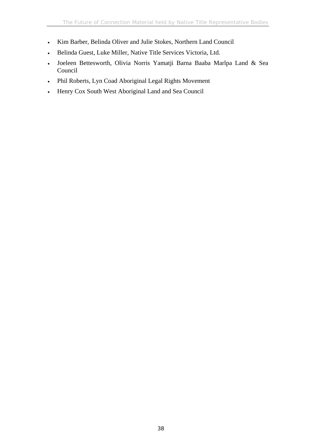- Kim Barber, Belinda Oliver and Julie Stokes, Northern Land Council
- Belinda Guest, Luke Miller, Native Title Services Victoria, Ltd.
- Joeleen Bettesworth, Olivia Norris Yamatji Barna Baaba Marlpa Land & Sea Council
- Phil Roberts, Lyn Coad Aboriginal Legal Rights Movement
- Henry Cox South West Aboriginal Land and Sea Council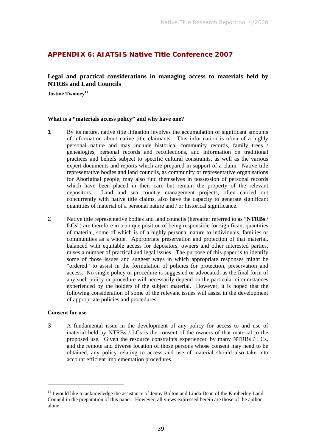## **APPENDIX 6: AIATSIS Native Title Conference 2007**

## **Legal and practical considerations in managing access to materials held by NTRBs and Land Councils**

Justine Twomey<sup>11</sup>

#### **What is a "materials access policy" and why have one?**

- 1 By its nature, native title litigation involves the accumulation of significant amounts of information about native title claimants. This information is often of a highly personal nature and may include historical community records, family trees / genealogies, personal records and recollections, and information on traditional practices and beliefs subject to specific cultural constraints, as well as the various expert documents and reports which are prepared in support of a claim. Native title representative bodies and land councils, as community or representative organisations for Aboriginal people, may also find themselves in possession of personal records which have been placed in their care but remain the property of the relevant depositors. Land and sea country management projects, often carried out concurrently with native title claims, also have the capacity to generate significant quantities of material of a personal nature and / or historical significance.
- 2 Native title representative bodies and land councils (hereafter referred to as "**NTRBs /**  LCs") are therefore in a unique position of being responsible for significant quantities of material, some of which is of a highly personal nature to individuals, families or communities as a whole. Appropriate preservation and protection of that material, balanced with equitable access for depositors, owners and other interested parties, raises a number of practical and legal issues. The purpose of this paper is to identify some of those issues and suggest ways in which appropriate responses might be "ordered" to assist in the formulation of policies for protection, preservation and access. No single policy or procedure is suggested or advocated, as the final form of any such policy or procedure will necessarily depend on the particular circumstances experienced by the holders of the subject material. However, it is hoped that the following consideration of some of the relevant issues will assist in the development of appropriate policies and procedures.

#### **Consent for use**

 $\overline{a}$ 

3 A fundamental issue in the development of any policy for access to and use of material held by NTRBs / LCs is the consent of the owners of that material to the proposed use. Given the resource constraints experienced by many NTRBs / LCs, and the remote and diverse location of those persons whose consent may need to be obtained, any policy relating to access and use of material should also take into account efficient implementation procedures.

 $11$  I would like to acknowledge the assistance of Jenny Bolton and Linda Dean of the Kimberley Land Council in the preparation of this paper. However, all views expressed herein are those of the author alone.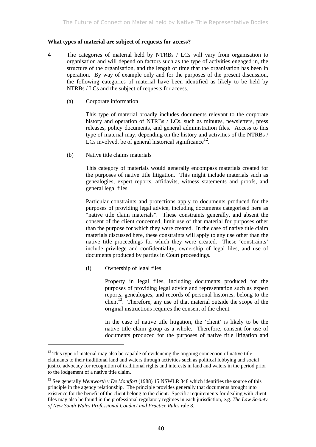#### **What types of material are subject of requests for access?**

- 4 The categories of material held by NTRBs / LCs will vary from organisation to organisation and will depend on factors such as the type of activities engaged in, the structure of the organisation, and the length of time that the organisation has been in operation. By way of example only and for the purposes of the present discussion, the following categories of material have been identified as likely to be held by NTRBs / LCs and the subject of requests for access.
	- (a) Corporate information

This type of material broadly includes documents relevant to the corporate history and operation of NTRBs / LCs, such as minutes, newsletters, press releases, policy documents, and general administration files. Access to this type of material may, depending on the history and activities of the NTRBs / LCs involved, be of general historical significance<sup>12</sup>.

(b) Native title claims materials

This category of materials would generally encompass materials created for the purposes of native title litigation. This might include materials such as genealogies, expert reports, affidavits, witness statements and proofs, and general legal files.

Particular constraints and protections apply to documents produced for the purposes of providing legal advice, including documents categorised here as "native title claim materials". These constraints generally, and absent the consent of the client concerned, limit use of that material for purposes other than the purpose for which they were created. In the case of native title claim materials discussed here, these constraints will apply to any use other than the native title proceedings for which they were created. These 'constraints' include privilege and confidentiality, ownership of legal files, and use of documents produced by parties in Court proceedings.

(i) Ownership of legal files

 $\overline{a}$ 

Property in legal files, including documents produced for the purposes of providing legal advice and representation such as expert reports, genealogies, and records of personal histories, belong to the client<sup>13</sup>. Therefore, any use of that material outside the scope of the original instructions requires the consent of the client.

In the case of native title litigation, the 'client' is likely to be the native title claim group as a whole. Therefore, consent for use of documents produced for the purposes of native title litigation and

 $12$  This type of material may also be capable of evidencing the ongoing connection of native title claimants to their traditional land and waters through activities such as political lobbying and social justice advocacy for recognition of traditional rights and interests in land and waters in the period prior to the lodgement of a native title claim.

<sup>&</sup>lt;sup>13</sup> See generally *Wentworth v De Montfort* (1988) 15 NSWLR 348 which identifies the source of this principle in the agency relationship. The principle provides generally that documents brought into existence for the benefit of the client belong to the client. Specific requirements for dealing with client files may also be found in the professional regulatory regimes in each jurisdiction, e.g. *The Law Society of New South Wales Professional Conduct and Practice Rules* rule 8.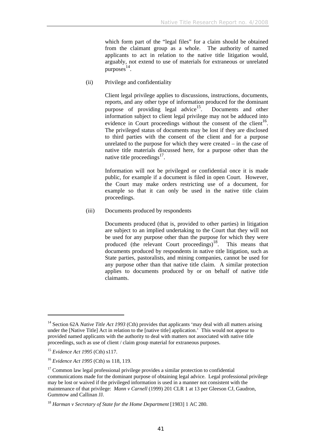which form part of the "legal files" for a claim should be obtained from the claimant group as a whole. The authority of named applicants to act in relation to the native title litigation would, arguably, not extend to use of materials for extraneous or unrelated purposes 14.

(ii) Privilege and confidentiality

Client legal privilege applies to discussions, instructions, documents, reports, and any other type of information produced for the dominant purpose of providing legal advice<sup>15</sup>. Documents and other information subject to client legal privilege may not be adduced into evidence in Court proceedings without the consent of the client<sup>16</sup>. The privileged status of documents may be lost if they are disclosed to third parties with the consent of the client and for a purpose unrelated to the purpose for which they were created – in the case of native title materials discussed here, for a purpose other than the native title proceedings $17$ .

Information will not be privileged or confidential once it is made public, for example if a document is filed in open Court. However, the Court may make orders restricting use of a document, for example so that it can only be used in the native title claim proceedings.

(iii) Documents produced by respondents

Documents produced (that is, provided to other parties) in litigation are subject to an implied undertaking to the Court that they will not be used for any purpose other than the purpose for which they were produced (the relevant Court proceedings) $18$ . This means that documents produced by respondents in native title litigation, such as State parties, pastoralists, and mining companies, cannot be used for any purpose other than that native title claim. A similar protection applies to documents produced by or on behalf of native title claimants.

<sup>&</sup>lt;sup>14</sup> Section 62A *Native Title Act 1993* (Cth) provides that applicants 'may deal with all matters arising under the [Native Title] Act in relation to the [native title] application.' This would not appear to provided named applicants with the authority to deal with matters not associated with native title proceedings, such as use of client / claim group material for extraneous purposes.

<sup>15</sup> *Evidence Act 1995* (Cth) s117.

<sup>16</sup> *Evidence Act 1995* (Cth) ss 118, 119.

 $17$  Common law legal professional privilege provides a similar protection to confidential communications made for the dominant purpose of obtaining legal advice. Legal professional privilege may be lost or waived if the privileged information is used in a manner not consistent with the maintenance of that privilege: *Mann v Carnell* (1999) 201 CLR 1 at 13 per Gleeson CJ, Gaudron, Gummow and Callinan JJ.

<sup>&</sup>lt;sup>18</sup> Harman v Secretary of State for the Home Department [1983] 1 AC 280.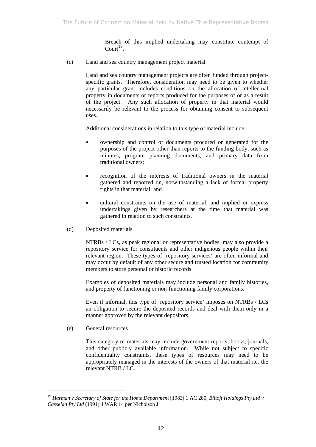Breach of this implied undertaking may constitute contempt of  $Count<sup>19</sup>$ .

(c) Land and sea country management project material

Land and sea country management projects are often funded through projectspecific grants. Therefore, consideration may need to be given to whether any particular grant includes conditions on the allocation of intellectual property in documents or reports produced for the purposes of or as a result of the project. Any such allocation of property in that material would necessarily be relevant to the process for obtaining consent to subsequent uses.

Additional considerations in relation to this type of material include:

- ownership and control of documents procured or generated for the purposes of the project other than reports to the funding body, such as minutes, program planning documents, and primary data from traditional owners;
- recognition of the interests of traditional owners in the material gathered and reported on, notwithstanding a lack of formal property rights in that material; and
- cultural constraints on the use of material, and implied or express undertakings given by researchers at the time that material was gathered in relation to such constraints.
- (d) Deposited materials

NTRBs / LCs, as peak regional or representative bodies, may also provide a repository service for constituents and other indigenous people within their relevant region. These types of 'repository services' are often informal and may occur by default of any other secure and trusted location for community members to store personal or historic records.

Examples of deposited materials may include personal and family histories, and property of functioning or non-functioning family corporations.

Even if informal, this type of 'repository service' imposes on NTRBs / LCs an obligation to secure the deposited records and deal with them only in a manner approved by the relevant depositors.

(e) General resources

 $\overline{a}$ 

This category of materials may include government reports, books, journals, and other publicly available information. While not subject to specific confidentiality constraints, these types of resources may need to be appropriately managed in the interests of the owners of that material i.e. the relevant NTRB / LC.

<sup>&</sup>lt;sup>19</sup> Harman v Secretary of State for the Home Department [1983] 1 AC 280; Biltoft Holdings Pty Ltd v *Casselan Pty Ltd* (1991) 4 WAR 14 per Nicholson J.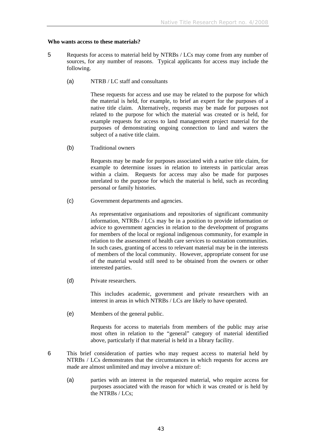#### **Who wants access to these materials?**

- 5 Requests for access to material held by NTRBs / LCs may come from any number of sources, for any number of reasons. Typical applicants for access may include the following.
	- (a) NTRB / LC staff and consultants

These requests for access and use may be related to the purpose for which the material is held, for example, to brief an expert for the purposes of a native title claim. Alternatively, requests may be made for purposes not related to the purpose for which the material was created or is held, for example requests for access to land management project material for the purposes of demonstrating ongoing connection to land and waters the subject of a native title claim.

(b) Traditional owners

Requests may be made for purposes associated with a native title claim, for example to determine issues in relation to interests in particular areas within a claim. Requests for access may also be made for purposes unrelated to the purpose for which the material is held, such as recording personal or family histories.

(c) Government departments and agencies.

As representative organisations and repositories of significant community information, NTRBs / LCs may be in a position to provide information or advice to government agencies in relation to the development of programs for members of the local or regional indigenous community, for example in relation to the assessment of health care services to outstation communities. In such cases, granting of access to relevant material may be in the interests of members of the local community. However, appropriate consent for use of the material would still need to be obtained from the owners or other interested parties.

(d) Private researchers.

This includes academic, government and private researchers with an interest in areas in which NTRBs / LCs are likely to have operated.

(e) Members of the general public.

Requests for access to materials from members of the public may arise most often in relation to the "general" category of material identified above, particularly if that material is held in a library facility.

- 6 This brief consideration of parties who may request access to material held by NTRBs / LCs demonstrates that the circumstances in which requests for access are made are almost unlimited and may involve a mixture of:
	- (a) parties with an interest in the requested material, who require access for purposes associated with the reason for which it was created or is held by the NTRBs / LCs;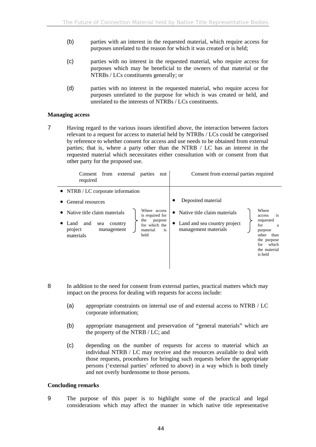- (b) parties with an interest in the requested material, which require access for purposes unrelated to the reason for which it was created or is held;
- (c) parties with no interest in the requested material, who require access for purposes which may be beneficial to the owners of that material or the NTRBs / LCs constituents generally; or
- (d) parties with no interest in the requested material, who require access for purposes unrelated to the purpose for which is was created or held, and unrelated to the interests of NTRBs / LCs constituents.

#### **Managing access**

7 Having regard to the various issues identified above, the interaction between factors relevant to a request for access to material held by NTRBs / LCs could be categorised by reference to whether consent for access and use needs to be obtained from external parties; that is, where a party other than the NTRB / LC has an interest in the requested material which necessitates either consultation with or consent from that other party for the proposed use.

| from external<br>Consent<br>parties<br>not<br>required                                                                                                                                                                                                        | Consent from external parties required                                                                                                                                                                                                                          |
|---------------------------------------------------------------------------------------------------------------------------------------------------------------------------------------------------------------------------------------------------------------|-----------------------------------------------------------------------------------------------------------------------------------------------------------------------------------------------------------------------------------------------------------------|
| • NTRB / LC corporate information<br>General resources<br>Where access<br>Native title claim materials<br>is required for<br>the<br>purpose<br>Land<br>and<br>sea<br>country<br>for which the<br>project<br>management<br>material<br>is<br>held<br>materials | Deposited material<br>Where<br>Native title claim materials<br>$\bullet$<br>is<br>access<br>requested<br>Land and sea country project<br>for<br>a<br>management materials<br>purpose<br>than<br>other<br>the purpose<br>which<br>for<br>the material<br>is held |
|                                                                                                                                                                                                                                                               |                                                                                                                                                                                                                                                                 |

- 8 In addition to the need for consent from external parties, practical matters which may impact on the process for dealing with requests for access include:
	- (a) appropriate constraints on internal use of and external access to NTRB / LC corporate information;
	- (b) appropriate management and preservation of "general materials" which are the property of the NTRB / LC; and
	- (c) depending on the number of requests for access to material which an individual NTRB / LC may receive and the resources available to deal with those requests, procedures for bringing such requests before the appropriate persons ('external parties' referred to above) in a way which is both timely and not overly burdensome to those persons.

#### **Concluding remarks**

9 The purpose of this paper is to highlight some of the practical and legal considerations which may affect the manner in which native title representative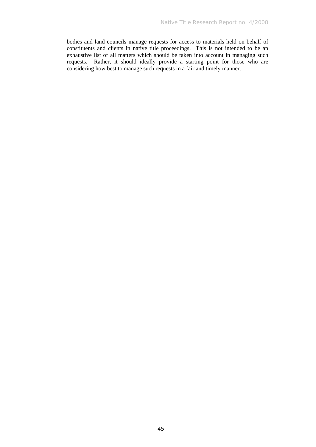bodies and land councils manage requests for access to materials held on behalf of constituents and clients in native title proceedings. This is not intended to be an exhaustive list of all matters which should be taken into account in managing such requests. Rather, it should ideally provide a starting point for those who are considering how best to manage such requests in a fair and timely manner.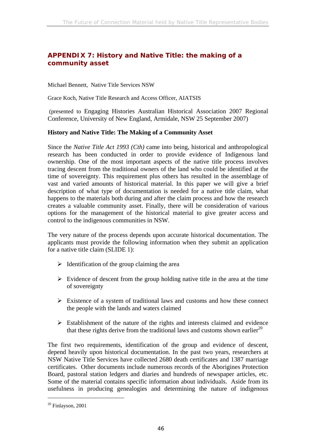# **APPENDIX 7: History and Native Title: the making of a community asset**

Michael Bennett, Native Title Services NSW

Grace Koch, Native Title Research and Access Officer, AIATSIS

 (presented to Engaging Histories Australian Historical Association 2007 Regional Conference, University of New England, Armidale, NSW 25 September 2007)

### **History and Native Title: The Making of a Community Asset**

Since the *Native Title Act 1993 (Cth)* came into being, historical and anthropological research has been conducted in order to provide evidence of Indigenous land ownership. One of the most important aspects of the native title process involves tracing descent from the traditional owners of the land who could be identified at the time of sovereignty. This requirement plus others has resulted in the assemblage of vast and varied amounts of historical material. In this paper we will give a brief description of what type of documentation is needed for a native title claim, what happens to the materials both during and after the claim process and how the research creates a valuable community asset. Finally, there will be consideration of various options for the management of the historical material to give greater access and control to the indigenous communities in NSW.

The very nature of the process depends upon accurate historical documentation. The applicants must provide the following information when they submit an application for a native title claim (SLIDE 1):

- $\triangleright$  Identification of the group claiming the area
- $\triangleright$  Evidence of descent from the group holding native title in the area at the time of sovereignty
- $\triangleright$  Existence of a system of traditional laws and customs and how these connect the people with the lands and waters claimed
- $\triangleright$  Establishment of the nature of the rights and interests claimed and evidence that these rights derive from the traditional laws and customs shown earlier<sup>20</sup>

The first two requirements, identification of the group and evidence of descent, depend heavily upon historical documentation. In the past two years, researchers at NSW Native Title Services have collected 2680 death certificates and 1387 marriage certificates. Other documents include numerous records of the Aborigines Protection Board, pastoral station ledgers and diaries and hundreds of newspaper articles, etc. Some of the material contains specific information about individuals. Aside from its usefulness in producing genealogies and determining the nature of indigenous

 $20$  Finlayson, 2001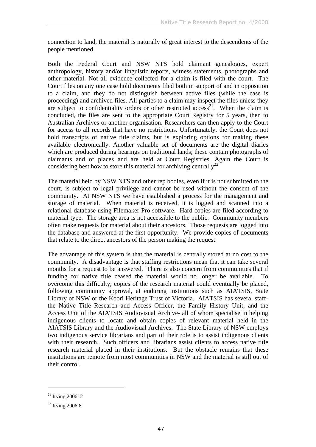connection to land, the material is naturally of great interest to the descendents of the people mentioned.

Both the Federal Court and NSW NTS hold claimant genealogies, expert anthropology, history and/or linguistic reports, witness statements, photographs and other material. Not all evidence collected for a claim is filed with the court. The Court files on any one case hold documents filed both in support of and in opposition to a claim, and they do not distinguish between active files (while the case is proceeding) and archived files. All parties to a claim may inspect the files unless they are subject to confidentiality orders or other restricted access<sup>21</sup>. When the claim is concluded, the files are sent to the appropriate Court Registry for 5 years, then to Australian Archives or another organisation. Researchers can then apply to the Court for access to all records that have no restrictions. Unfortunately, the Court does not hold transcripts of native title claims, but is exploring options for making these available electronically. Another valuable set of documents are the digital diaries which are produced during hearings on traditional lands; these contain photographs of claimants and of places and are held at Court Registries. Again the Court is considering best how to store this material for archiving centrally<sup>22</sup>

The material held by NSW NTS and other rep bodies, even if it is not submitted to the court, is subject to legal privilege and cannot be used without the consent of the community. At NSW NTS we have established a process for the management and storage of material. When material is received, it is logged and scanned into a relational database using Filemaker Pro software. Hard copies are filed according to material type. The storage area is not accessible to the public. Community members often make requests for material about their ancestors. Those requests are logged into the database and answered at the first opportunity. We provide copies of documents that relate to the direct ancestors of the person making the request.

The advantage of this system is that the material is centrally stored at no cost to the community. A disadvantage is that staffing restrictions mean that it can take several months for a request to be answered. There is also concern from communities that if funding for native title ceased the material would no longer be available. To overcome this difficulty, copies of the research material could eventually be placed, following community approval, at enduring institutions such as AIATSIS, State Library of NSW or the Koori Heritage Trust of Victoria. AIATSIS has several staffthe Native Title Research and Access Officer, the Family History Unit, and the Access Unit of the AIATSIS Audiovisual Archive- all of whom specialise in helping indigenous clients to locate and obtain copies of relevant material held in the AIATSIS Library and the Audiovisual Archives. The State Library of NSW employs two indigenous service librarians and part of their role is to assist indigenous clients with their research. Such officers and librarians assist clients to access native title research material placed in their institutions. But the obstacle remains that these institutions are remote from most communities in NSW and the material is still out of their control.

 $21$  Irving 2006: 2

 $22$  Irving 2006:8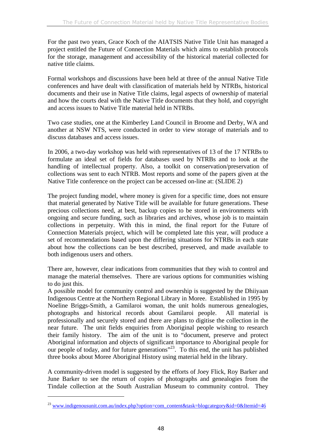For the past two years, Grace Koch of the AIATSIS Native Title Unit has managed a project entitled the Future of Connection Materials which aims to establish protocols for the storage, management and accessibility of the historical material collected for native title claims.

Formal workshops and discussions have been held at three of the annual Native Title conferences and have dealt with classification of materials held by NTRBs, historical documents and their use in Native Title claims, legal aspects of ownership of material and how the courts deal with the Native Title documents that they hold, and copyright and access issues to Native Title material held in NTRBs.

Two case studies, one at the Kimberley Land Council in Broome and Derby, WA and another at NSW NTS, were conducted in order to view storage of materials and to discuss databases and access issues.

In 2006, a two-day workshop was held with representatives of 13 of the 17 NTRBs to formulate an ideal set of fields for databases used by NTRBs and to look at the handling of intellectual property. Also, a toolkit on conservation/preservation of collections was sent to each NTRB. Most reports and some of the papers given at the Native Title conference on the project can be accessed on-line at: (SLIDE 2)

The project funding model, where money is given for a specific time, does not ensure that material generated by Native Title will be available for future generations. These precious collections need, at best, backup copies to be stored in environments with ongoing and secure funding, such as libraries and archives, whose job is to maintain collections in perpetuity. With this in mind, the final report for the Future of Connection Materials project, which will be completed late this year, will produce a set of recommendations based upon the differing situations for NTRBs in each state about how the collections can be best described, preserved, and made available to both indigenous users and others.

There are, however, clear indications from communities that they wish to control and manage the material themselves. There are various options for communities wishing to do just this.

A possible model for community control and ownership is suggested by the Dhiiyaan Indigenous Centre at the Northern Regional Library in Moree. Established in 1995 by Noeline Briggs-Smith, a Gamilaroi woman, the unit holds numerous genealogies, photographs and historical records about Gamilaroi people. All material is professionally and securely stored and there are plans to digitise the collection in the near future. The unit fields enquiries from Aboriginal people wishing to research their family history. The aim of the unit is to "document, preserve and protect Aboriginal information and objects of significant importance to Aboriginal people for our people of today, and for future generations"<sup>23</sup>. To this end, the unit has published three books about Moree Aboriginal History using material held in the library.

A community-driven model is suggested by the efforts of Joey Flick, Roy Barker and June Barker to see the return of copies of photographs and genealogies from the Tindale collection at the South Australian Museum to community control. They

<sup>&</sup>lt;sup>23</sup> www.indigenousunit.com.au/index.php?option=com\_content&task=blogcategory&id=0&Itemid=46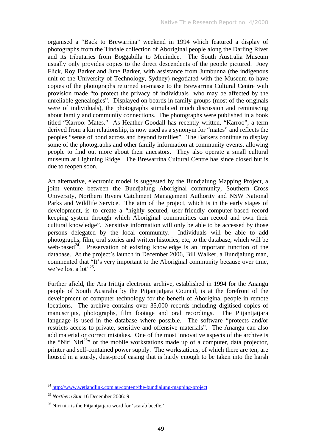organised a "Back to Brewarrina" weekend in 1994 which featured a display of photographs from the Tindale collection of Aboriginal people along the Darling River and its tributaries from Boggabilla to Menindee. The South Australia Museum usually only provides copies to the direct descendents of the people pictured. Joey Flick, Roy Barker and June Barker, with assistance from Jumbunna (the indigenous unit of the University of Technology, Sydney) negotiated with the Museum to have copies of the photographs returned en-masse to the Brewarrina Cultural Centre with provision made "to protect the privacy of individuals who may be affected by the unreliable genealogies". Displayed on boards in family groups (most of the originals were of individuals), the photographs stimulated much discussion and reminiscing about family and community connections. The photographs were published in a book titled "Karroo: Mates." As Heather Goodall has recently written, "Karroo", a term derived from a kin relationship, is now used as a synonym for "mates" and reflects the peoples "sense of bond across and beyond families". The Barkers continue to display some of the photographs and other family information at community events, allowing people to find out more about their ancestors. They also operate a small cultural museum at Lightning Ridge. The Brewarrina Cultural Centre has since closed but is due to reopen soon.

An alternative, electronic model is suggested by the Bundjalung Mapping Project, a joint venture between the Bundjalung Aboriginal community, Southern Cross University, Northern Rivers Catchment Management Authority and NSW National Parks and Wildlife Service. The aim of the project, which is in the early stages of development, is to create a "highly secured, user-friendly computer-based record keeping system through which Aboriginal communities can record and own their cultural knowledge". Sensitive information will only be able to be accessed by those persons delegated by the local community. Individuals will be able to add photographs, film, oral stories and written histories, etc, to the database, which will be web-based<sup>24</sup>. Preservation of existing knowledge is an important function of the database. At the project's launch in December 2006, Bill Walker, a Bundjalung man, commented that "It's very important to the Aboriginal community because over time, we've lost a lot"<sup>25</sup>.

Further afield, the Ara Irititja electronic archive, established in 1994 for the Anangu people of South Australia by the Pitjantjatjara Council, is at the forefront of the development of computer technology for the benefit of Aboriginal people in remote locations. The archive contains over 35,000 records including digitised copies of manuscripts, photographs, film footage and oral recordings. The Pitjantjatjara language is used in the database where possible. The software "protects and/or restricts access to private, sensitive and offensive materials". The Anangu can also add material or correct mistakes. One of the most innovative aspects of the archive is the "Niri Niri<sup>26</sup>" or the mobile workstations made up of a computer, data projector, printer and self-contained power supply. The workstations, of which there are ten, are housed in a sturdy, dust-proof casing that is hardy enough to be taken into the harsh

 $^{24}$  http://www.wetlandlink.com.au/content/the-bundialung-mapping-project

<sup>25</sup> *Northern Star* 16 December 2006: 9

<sup>&</sup>lt;sup>26</sup> Niri niri is the Pitjantjatjara word for 'scarab beetle.'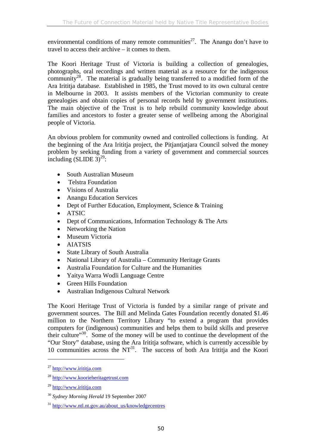environmental conditions of many remote communities<sup>27</sup>. The Anangu don't have to travel to access their archive – it comes to them.

The Koori Heritage Trust of Victoria is building a collection of genealogies, photographs, oral recordings and written material as a resource for the indigenous community<sup>28</sup>. The material is gradually being transferred to a modified form of the Ara Irititja database. Established in 1985, the Trust moved to its own cultural centre in Melbourne in 2003. It assists members of the Victorian community to create genealogies and obtain copies of personal records held by government institutions. The main objective of the Trust is to help rebuild community knowledge about families and ancestors to foster a greater sense of wellbeing among the Aboriginal people of Victoria.

An obvious problem for community owned and controlled collections is funding. At the beginning of the Ara Irititja project, the Pitjantjatjara Council solved the money problem by seeking funding from a variety of government and commercial sources including  $(SLIDE 3)^{29}$ :

- South Australian Museum
- Telstra Foundation
- Visions of Australia
- Anangu Education Services
- Dept of Further Education, Employment, Science & Training
- ATSIC
- Dept of Communications, Information Technology & The Arts
- Networking the Nation
- Museum Victoria
- AIATSIS
- State Library of South Australia
- National Library of Australia Community Heritage Grants
- Australia Foundation for Culture and the Humanities
- Yaitya Warra Wodli Language Centre
- Green Hills Foundation
- Australian Indigenous Cultural Network

The Koori Heritage Trust of Victoria is funded by a similar range of private and government sources. The Bill and Melinda Gates Foundation recently donated \$1.46 million to the Northern Territory Library "to extend a program that provides computers for (indigenous) communities and helps them to build skills and preserve their culture"<sup>30</sup>. Some of the money will be used to continue the development of the "Our Story" database, using the Ara Irititja software, which is currently accessible by 10 communities across the  $NT^{31}$ . The success of both Ara Irititja and the Koori

 $^{27}$  http://www.irititia.com

<sup>&</sup>lt;sup>28</sup> http://www.koorieheritagetrust.com

<sup>29</sup> http://www.irititja.com

<sup>30</sup> *Sydney Morning Herald* 19 September 2007

<sup>&</sup>lt;sup>31</sup> http://www.ntl.nt.gov.au/about\_us/knowledgecentres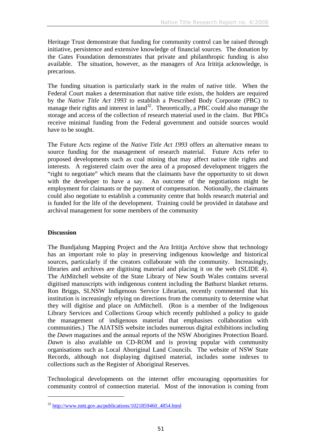Heritage Trust demonstrate that funding for community control can be raised through initiative, persistence and extensive knowledge of financial sources. The donation by the Gates Foundation demonstrates that private and philanthropic funding is also available. The situation, however, as the managers of Ara Irititja acknowledge, is precarious.

The funding situation is particularly stark in the realm of native title. When the Federal Court makes a determination that native title exists, the holders are required by the *Native Title Act 1993* to establish a Prescribed Body Corporate (PBC) to manage their rights and interest in land<sup>32</sup>. Theoretically, a PBC could also manage the storage and access of the collection of research material used in the claim. But PBCs receive minimal funding from the Federal government and outside sources would have to be sought.

The Future Acts regime of the *Native Title Act 1993* offers an alternative means to source funding for the management of research material. Future Acts refer to proposed developments such as coal mining that may affect native title rights and interests. A registered claim over the area of a proposed development triggers the "right to negotiate" which means that the claimants have the opportunity to sit down with the developer to have a say. An outcome of the negotiations might be employment for claimants or the payment of compensation. Notionally, the claimants could also negotiate to establish a community centre that holds research material and is funded for the life of the development. Training could be provided in database and archival management for some members of the community

## **Discussion**

 $\overline{a}$ 

The Bundjalung Mapping Project and the Ara Irititja Archive show that technology has an important role to play in preserving indigenous knowledge and historical sources, particularly if the creators collaborate with the community. Increasingly, libraries and archives are digitising material and placing it on the web (SLIDE 4). The AtMitchell website of the State Library of New South Wales contains several digitised manuscripts with indigenous content including the Bathurst blanket returns. Ron Briggs, SLNSW Indigenous Service Librarian, recently commented that his institution is increasingly relying on directions from the community to determine what they will digitise and place on AtMitchell. (Ron is a member of the Indigenous Library Services and Collections Group which recently published a policy to guide the management of indigenous material that emphasises collaboration with communities.) The AIATSIS website includes numerous digital exhibitions including the *Dawn* magazines and the annual reports of the NSW Aborigines Protection Board. *Dawn* is also available on CD-ROM and is proving popular with community organisations such as Local Aboriginal Land Councils. The website of NSW State Records, although not displaying digitised material, includes some indexes to collections such as the Register of Aboriginal Reserves.

Technological developments on the internet offer encouraging opportunities for community control of connection material. Most of the innovation is coming from

 $32 \text{ http://www.nntt.gov.au/publications/1021859460}$  4854.html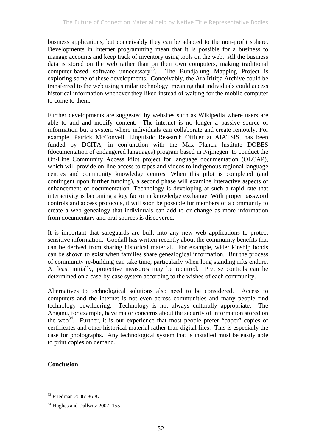business applications, but conceivably they can be adapted to the non-profit sphere. Developments in internet programming mean that it is possible for a business to manage accounts and keep track of inventory using tools on the web. All the business data is stored on the web rather than on their own computers, making traditional computer-based software unnecessary<sup>33</sup>. The Bundjalung Mapping Project is computer-based software unnecessary $^{33}$ . exploring some of these developments. Conceivably, the Ara Irititja Archive could be transferred to the web using similar technology, meaning that individuals could access historical information whenever they liked instead of waiting for the mobile computer to come to them.

Further developments are suggested by websites such as Wikipedia where users are able to add and modify content. The internet is no longer a passive source of information but a system where individuals can collaborate and create remotely. For example, Patrick McConvell, Linguistic Research Officer at AIATSIS, has been funded by DCITA, in conjunction with the Max Planck Institute DOBES (documentation of endangered languages) program based in Nijmegen to conduct the On-Line Community Access Pilot project for language documentation (OLCAP), which will provide on-line access to tapes and videos to Indigenous regional language centres and community knowledge centres. When this pilot is completed (and contingent upon further funding), a second phase will examine interactive aspects of enhancement of documentation. Technology is developing at such a rapid rate that interactivity is becoming a key factor in knowledge exchange. With proper password controls and access protocols, it will soon be possible for members of a community to create a web genealogy that individuals can add to or change as more information from documentary and oral sources is discovered.

It is important that safeguards are built into any new web applications to protect sensitive information. Goodall has written recently about the community benefits that can be derived from sharing historical material. For example, wider kinship bonds can be shown to exist when families share genealogical information. But the process of community re-building can take time, particularly when long standing rifts endure. At least initially, protective measures may be required. Precise controls can be determined on a case-by-case system according to the wishes of each community.

Alternatives to technological solutions also need to be considered. Access to computers and the internet is not even across communities and many people find technology bewildering. Technology is not always culturally appropriate. The Anganu, for example, have major concerns about the security of information stored on the web<sup>34</sup>. Further, it is our experience that most people prefer "paper" copies of certificates and other historical material rather than digital files. This is especially the case for photographs. Any technological system that is installed must be easily able to print copies on demand.

## **Conclusion**

<sup>33</sup> Friedman 2006: 86-87

<sup>&</sup>lt;sup>34</sup> Hughes and Dallwitz 2007: 155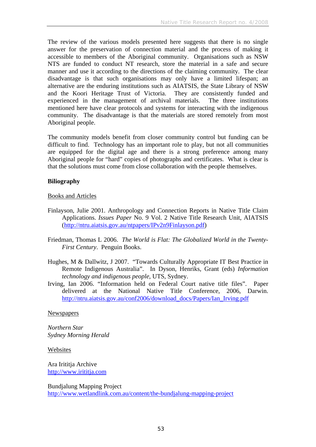The review of the various models presented here suggests that there is no single answer for the preservation of connection material and the process of making it accessible to members of the Aboriginal community. Organisations such as NSW NTS are funded to conduct NT research, store the material in a safe and secure manner and use it according to the directions of the claiming community. The clear disadvantage is that such organisations may only have a limited lifespan; an alternative are the enduring institutions such as AIATSIS, the State Library of NSW and the Koori Heritage Trust of Victoria. They are consistently funded and experienced in the management of archival materials. The three institutions mentioned here have clear protocols and systems for interacting with the indigenous community. The disadvantage is that the materials are stored remotely from most Aboriginal people.

The community models benefit from closer community control but funding can be difficult to find. Technology has an important role to play, but not all communities are equipped for the digital age and there is a strong preference among many Aboriginal people for "hard" copies of photographs and certificates. What is clear is that the solutions must come from close collaboration with the people themselves.

### **Biliography**

### Books and Articles

- Finlayson, Julie 2001. Anthropology and Connection Reports in Native Title Claim Applications. *Issues Paper* No. 9 Vol. 2 Native Title Research Unit, AIATSIS (http://ntru.aiatsis.gov.au/ntpapers/IPv2n9Finlayson.pdf)
- Friedman, Thomas L 2006. *The World is Flat: The Globalized World in the Twenty-First Century*. Penguin Books.
- Hughes, M & Dallwitz, J 2007. "Towards Culturally Appropriate IT Best Practice in Remote Indigenous Australia". In Dyson, Henriks, Grant (eds) *Information technology and indigenous people*, UTS, Sydney.
- Irving, Ian 2006. "Information held on Federal Court native title files". Paper delivered at the National Native Title Conference, 2006, Darwin. http://ntru.aiatsis.gov.au/conf2006/download\_docs/Papers/Ian\_Irving.pdf

### Newspapers

*Northern Star Sydney Morning Herald*

### Websites

Ara Irititja Archive http://www.irititja.com

Bundjalung Mapping Project http://www.wetlandlink.com.au/content/the-bundjalung-mapping-project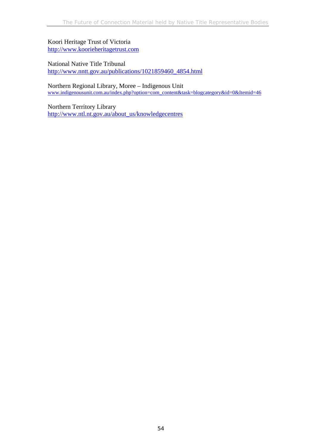Koori Heritage Trust of Victoria http://www.koorieheritagetrust.com

National Native Title Tribunal http://www.nntt.gov.au/publications/1021859460\_4854.html

Northern Regional Library, Moree – Indigenous Unit www.indigenousunit.com.au/index.php?option=com\_content&task=blogcategory&id=0&Itemid=46

Northern Territory Library http://www.ntl.nt.gov.au/about\_us/knowledgecentres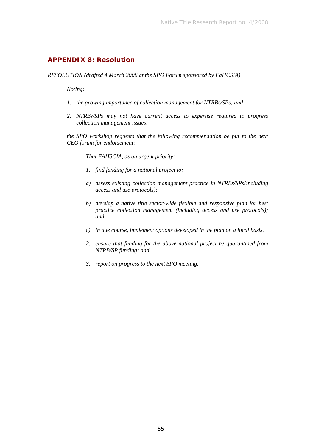### **APPENDIX 8: Resolution**

*RESOLUTION (drafted 4 March 2008 at the SPO Forum sponsored by FaHCSIA)* 

*Noting:* 

- *1. the growing importance of collection management for NTRBs/SPs; and*
- *2. NTRBs/SPs may not have current access to expertise required to progress collection management issues;*

*the SPO workshop requests that the following recommendation be put to the next CEO forum for endorsement:* 

*That FAHSCIA, as an urgent priority:* 

- *1. find funding for a national project to:*
- *a) assess existing collection management practice in NTRBs/SPs(including access and use protocols);*
- *b) develop a native title sector-wide flexible and responsive plan for best practice collection management (including access and use protocols); and*
- *c) in due course, implement options developed in the plan on a local basis.*
- *2. ensure that funding for the above national project be quarantined from NTRB/SP funding; and*
- *3. report on progress to the next SPO meeting.*